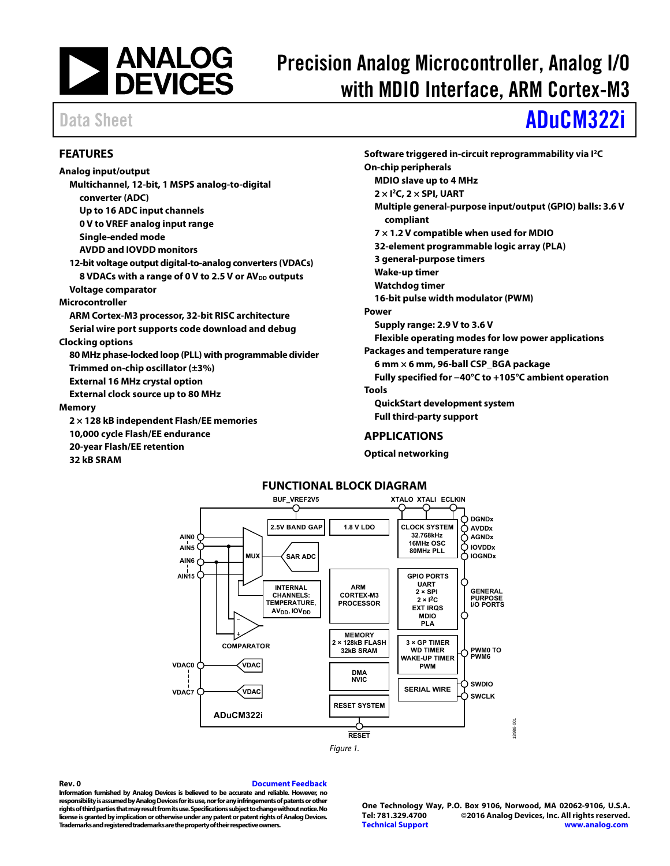

# Precision Analog Microcontroller, Analog I/O with MDIO Interface, ARM Cortex-M3

# Data Sheet **[ADuCM322i](http://www.analog.com/ADuCM322?doc=ADuCM322i.pdf)**

### <span id="page-0-0"></span>**FEATURES**

**Analog input/output Multichannel, 12-bit, 1 MSPS analog-to-digital converter (ADC) Up to 16 ADC input channels 0 V to VREF analog input range Single-ended mode AVDD and IOVDD monitors 12-bit voltage output digital-to-analog converters (VDACs)**  8 VDACs with a range of 0 V to 2.5 V or AV<sub>DD</sub> outputs **Voltage comparator Microcontroller ARM Cortex-M3 processor, 32-bit RISC architecture Serial wire port supports code download and debug Clocking options 80 MHz phase-locked loop (PLL) with programmable divider Trimmed on-chip oscillator (±3%) External 16 MHz crystal option External clock source up to 80 MHz Memory 2 × 128 kB independent Flash/EE memories 10,000 cycle Flash/EE endurance 20-year Flash/EE retention 32 kB SRAM** 

**Software triggered in-circuit reprogrammability via I2C On-chip peripherals MDIO slave up to 4 MHz 2 × I2C, 2 × SPI, UART Multiple general-purpose input/output (GPIO) balls: 3.6 V compliant 7 × 1.2 V compatible when used for MDIO 32-element programmable logic array (PLA) 3 general-purpose timers Wake-up timer Watchdog timer 16-bit pulse width modulator (PWM) Power Supply range: 2.9 V to 3.6 V Flexible operating modes for low power applications Packages and temperature range 6 mm × 6 mm, 96-ball CSP\_BGA package Fully specified for −40°C to +105°C ambient operation Tools QuickStart development system Full third-party support** 

#### <span id="page-0-1"></span>**APPLICATIONS**

**Optical networking** 

#### **FUNCTIONAL BLOCK DIAGRAM**

<span id="page-0-2"></span>

#### **Rev. 0 [Document Feedback](https://form.analog.com/Form_Pages/feedback/documentfeedback.aspx?doc=ADuCM322i.pdf&product=ADuCM322i&rev=0)**

**Information furnished by Analog Devices is believed to be accurate and reliable. However, no responsibility is assumed by Analog Devices for its use, nor for any infringements of patents or other rights of third parties that may result from its use. Specifications subject to change without notice. No license is granted by implication or otherwise under any patent or patent rights of Analog Devices. Trademarks and registered trademarks are the property of their respective owners.** 

**One Technology Way, P.O. Box 9106, Norwood, MA 02062-9106, U.S.A.** ©2016 Analog Devices, Inc. All rights reserved. **[Technical Support](http://www.analog.com/en/content/technical_support_page/fca.html) [www.analog.com](http://www.analog.com/)** 

13986-001

1986-00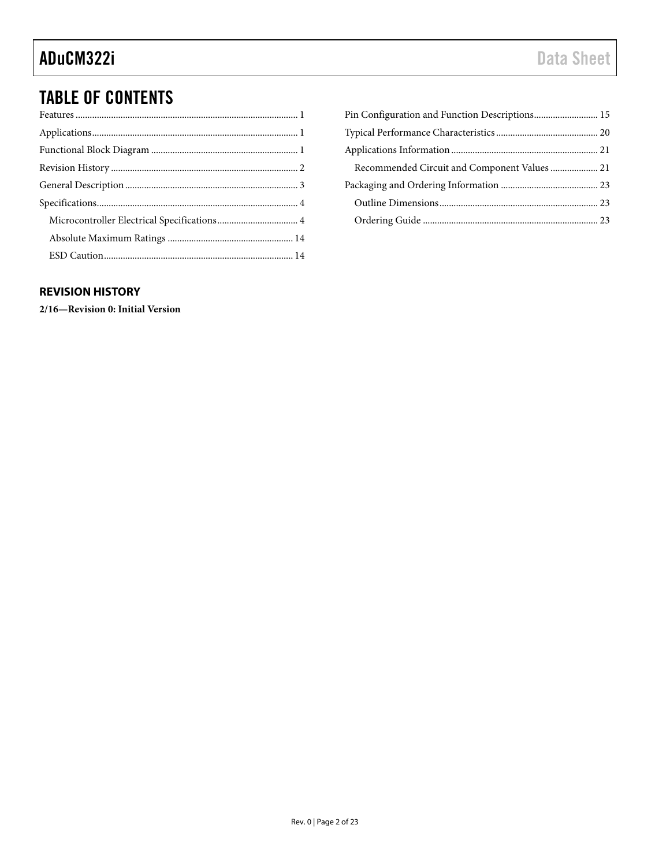## TABLE OF CONTENTS

| Recommended Circuit and Component Values  21 |
|----------------------------------------------|
|                                              |
|                                              |
|                                              |
|                                              |

### <span id="page-1-0"></span>**REVISION HISTORY**

**2/16—Revision 0: Initial Version**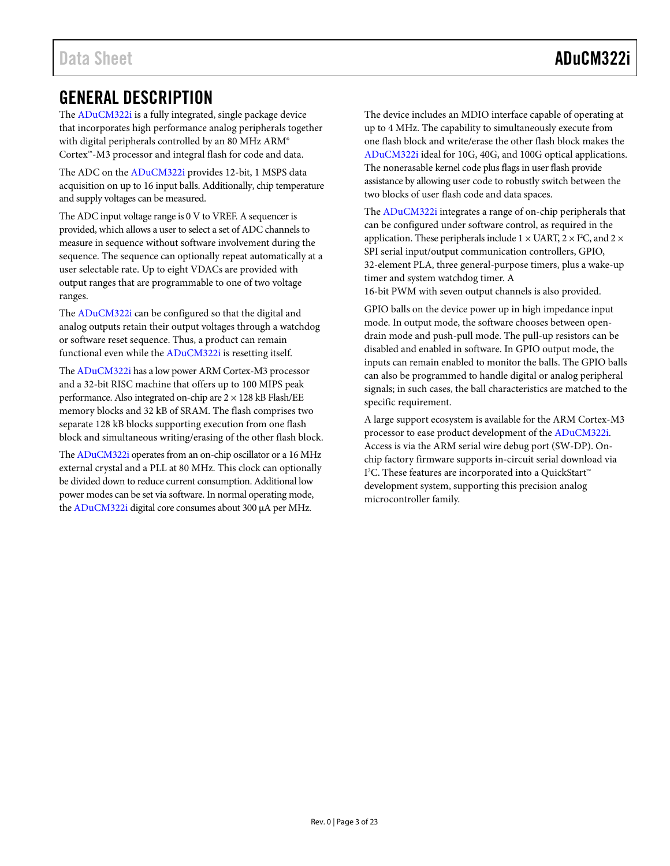## <span id="page-2-0"></span>GENERAL DESCRIPTION

The [ADuCM322i](http://www.analog.com/ADuCM322?doc=ADuCM322i.pdf) is a fully integrated, single package device that incorporates high performance analog peripherals together with digital peripherals controlled by an 80 MHz ARM® Cortex™-M3 processor and integral flash for code and data.

The ADC on th[e ADuCM322i](http://www.analog.com/ADuCM322?doc=ADuCM322i.pdf) provides 12-bit, 1 MSPS data acquisition on up to 16 input balls. Additionally, chip temperature and supply voltages can be measured.

The ADC input voltage range is 0 V to VREF. A sequencer is provided, which allows a user to select a set of ADC channels to measure in sequence without software involvement during the sequence. The sequence can optionally repeat automatically at a user selectable rate. Up to eight VDACs are provided with output ranges that are programmable to one of two voltage ranges.

The [ADuCM322i](http://www.analog.com/ADuCM322?doc=ADuCM322i.pdf) can be configured so that the digital and analog outputs retain their output voltages through a watchdog or software reset sequence. Thus, a product can remain functional even while the [ADuCM322i](http://www.analog.com/ADuCM322?doc=ADuCM322i.pdf) is resetting itself.

Th[e ADuCM322i](http://www.analog.com/ADuCM322?doc=ADuCM322i.pdf) has a low power ARM Cortex-M3 processor and a 32-bit RISC machine that offers up to 100 MIPS peak performance. Also integrated on-chip are  $2 \times 128$  kB Flash/EE memory blocks and 32 kB of SRAM. The flash comprises two separate 128 kB blocks supporting execution from one flash block and simultaneous writing/erasing of the other flash block.

Th[e ADuCM322i](http://www.analog.com/ADuCM322?doc=ADuCM322i.pdf) operates from an on-chip oscillator or a 16 MHz external crystal and a PLL at 80 MHz. This clock can optionally be divided down to reduce current consumption. Additional low power modes can be set via software. In normal operating mode, th[e ADuCM322i](http://www.analog.com/ADuCM322?doc=ADuCM322i.pdf) digital core consumes about 300 µA per MHz.

The device includes an MDIO interface capable of operating at up to 4 MHz. The capability to simultaneously execute from one flash block and write/erase the other flash block makes the [ADuCM322i](http://www.analog.com/ADuCM322?doc=ADuCM322i.pdf) ideal for 10G, 40G, and 100G optical applications. The nonerasable kernel code plus flags in user flash provide assistance by allowing user code to robustly switch between the two blocks of user flash code and data spaces.

The [ADuCM322i](http://www.analog.com/ADuCM322?doc=ADuCM322i.pdf) integrates a range of on-chip peripherals that can be configured under software control, as required in the application. These peripherals include 1  $\times$  UART, 2  $\times$  I<sup>2</sup>C, and 2  $\times$ SPI serial input/output communication controllers, GPIO, 32-element PLA, three general-purpose timers, plus a wake-up timer and system watchdog timer. A

16-bit PWM with seven output channels is also provided.

GPIO balls on the device power up in high impedance input mode. In output mode, the software chooses between opendrain mode and push-pull mode. The pull-up resistors can be disabled and enabled in software. In GPIO output mode, the inputs can remain enabled to monitor the balls. The GPIO balls can also be programmed to handle digital or analog peripheral signals; in such cases, the ball characteristics are matched to the specific requirement.

A large support ecosystem is available for the ARM Cortex-M3 processor to ease product development of the [ADuCM322i.](http://www.analog.com/ADuCM322?doc=ADuCM322i.pdf)  Access is via the ARM serial wire debug port (SW-DP). Onchip factory firmware supports in-circuit serial download via I<sup>2</sup>C. These features are incorporated into a QuickStart™ development system, supporting this precision analog microcontroller family.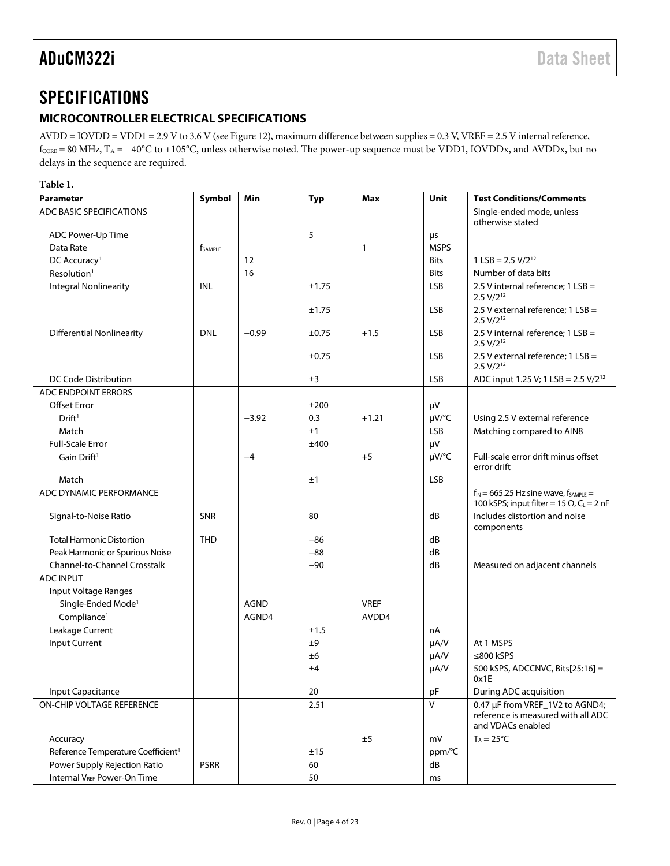## <span id="page-3-0"></span>**SPECIFICATIONS**

### <span id="page-3-1"></span>**MICROCONTROLLER ELECTRICAL SPECIFICATIONS**

AVDD = IOVDD = VDD1 = 2.9 V to 3.6 V (se[e Figure 12\)](#page-19-1), maximum difference between supplies = 0.3 V, VREF = 2.5 V internal reference, fcore = 80 MHz, T<sub>A</sub> = −40°C to +105°C, unless otherwise noted. The power-up sequence must be VDD1, IOVDDx, and AVDDx, but no delays in the sequence are required.

<span id="page-3-2"></span>

| <b>Parameter</b>                               | Symbol              | Min         | <b>Typ</b> | <b>Max</b>   | Unit        | <b>Test Conditions/Comments</b>                                                            |
|------------------------------------------------|---------------------|-------------|------------|--------------|-------------|--------------------------------------------------------------------------------------------|
| ADC BASIC SPECIFICATIONS                       |                     |             |            |              |             | Single-ended mode, unless<br>otherwise stated                                              |
| ADC Power-Up Time                              |                     |             | 5          |              | μs          |                                                                                            |
| Data Rate                                      | f <sub>SAMPLE</sub> |             |            | $\mathbf{1}$ | <b>MSPS</b> |                                                                                            |
| DC Accuracy <sup>1</sup>                       |                     | 12          |            |              | <b>Bits</b> | $1$ LSB = 2.5 V/2 <sup>12</sup>                                                            |
| Resolution <sup>1</sup>                        |                     | 16          |            |              | <b>Bits</b> | Number of data bits                                                                        |
| <b>Integral Nonlinearity</b>                   | INL                 |             | ±1.75      |              | <b>LSB</b>  | 2.5 V internal reference; 1 LSB =<br>$2.5 V/2^{12}$                                        |
|                                                |                     |             | ±1.75      |              | <b>LSB</b>  | 2.5 V external reference; 1 LSB =<br>$2.5 V/2^{12}$                                        |
| <b>Differential Nonlinearity</b>               | <b>DNL</b>          | $-0.99$     | $\pm 0.75$ | $+1.5$       | <b>LSB</b>  | 2.5 V internal reference; 1 LSB =<br>$2.5 V/2^{12}$                                        |
|                                                |                     |             | $\pm 0.75$ |              | <b>LSB</b>  | 2.5 V external reference; 1 LSB =<br>$2.5 V/2^{12}$                                        |
| DC Code Distribution                           |                     |             | ±3         |              | <b>LSB</b>  | ADC input 1.25 V; 1 LSB = $2.5$ V/ $2^{12}$                                                |
| ADC ENDPOINT ERRORS                            |                     |             |            |              |             |                                                                                            |
| Offset Error                                   |                     |             | ±200       |              | μV          |                                                                                            |
| Drift <sup>1</sup>                             |                     | $-3.92$     | 0.3        | $+1.21$      | µV/°C       | Using 2.5 V external reference                                                             |
| Match                                          |                     |             | ±1         |              | <b>LSB</b>  | Matching compared to AIN8                                                                  |
| <b>Full-Scale Error</b>                        |                     |             | ±400       |              | μV          |                                                                                            |
| Gain Drift <sup>1</sup>                        |                     | $-4$        |            | $+5$         | $\mu V$ /°C | Full-scale error drift minus offset<br>error drift                                         |
| Match                                          |                     |             | ±1         |              | <b>LSB</b>  |                                                                                            |
| ADC DYNAMIC PERFORMANCE                        |                     |             |            |              |             | $f_{IN} = 665.25$ Hz sine wave, $f_{SAMPLE} =$                                             |
|                                                |                     |             |            |              |             | 100 kSPS; input filter = 15 $\Omega$ , C <sub>L</sub> = 2 nF                               |
| Signal-to-Noise Ratio                          | SNR                 |             | 80         |              | dB          | Includes distortion and noise<br>components                                                |
| <b>Total Harmonic Distortion</b>               | <b>THD</b>          |             | $-86$      |              | dB          |                                                                                            |
| Peak Harmonic or Spurious Noise                |                     |             | $-88$      |              | dB          |                                                                                            |
| Channel-to-Channel Crosstalk                   |                     |             | $-90$      |              | dB          | Measured on adjacent channels                                                              |
| <b>ADC INPUT</b>                               |                     |             |            |              |             |                                                                                            |
| Input Voltage Ranges                           |                     |             |            |              |             |                                                                                            |
| Single-Ended Mode <sup>1</sup>                 |                     | <b>AGND</b> |            | <b>VREF</b>  |             |                                                                                            |
| Compliance <sup>1</sup>                        |                     | AGND4       |            | AVDD4        |             |                                                                                            |
| Leakage Current                                |                     |             | ±1.5       |              | nA          |                                                                                            |
| Input Current                                  |                     |             | ±9         |              | µA/V        | At 1 MSPS                                                                                  |
|                                                |                     |             | ±6         |              | µA/V        | ≤800 kSPS                                                                                  |
|                                                |                     |             | ±4         |              | µA/V        | 500 kSPS, ADCCNVC, Bits[25:16] =<br>0x1E                                                   |
| Input Capacitance                              |                     |             | 20         |              | pF          | During ADC acquisition                                                                     |
| ON-CHIP VOLTAGE REFERENCE                      |                     |             | 2.51       |              | $\vee$      | 0.47 µF from VREF_1V2 to AGND4;<br>reference is measured with all ADC<br>and VDACs enabled |
| Accuracy                                       |                     |             |            | ±5           | mV          | $T_A = 25^{\circ}C$                                                                        |
| Reference Temperature Coefficient <sup>1</sup> |                     |             | ±15        |              | ppm/°C      |                                                                                            |
| Power Supply Rejection Ratio                   | <b>PSRR</b>         |             | 60         |              | dB          |                                                                                            |
| Internal VREF Power-On Time                    |                     |             | 50         |              | ms          |                                                                                            |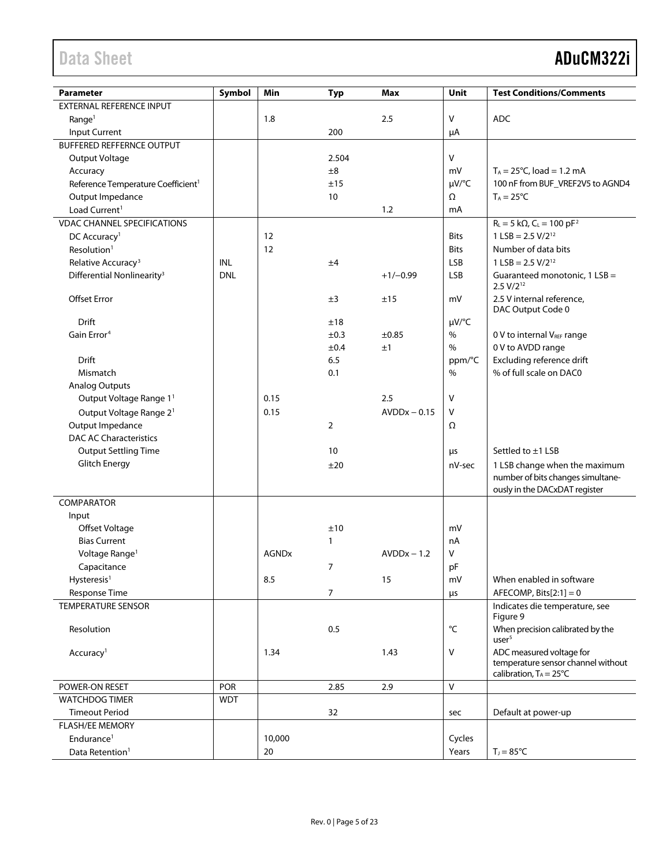| <b>Parameter</b>                               | Symbol     | Min          |                | <b>Max</b>     | Unit         | <b>Test Conditions/Comments</b>                                                                    |
|------------------------------------------------|------------|--------------|----------------|----------------|--------------|----------------------------------------------------------------------------------------------------|
| <b>EXTERNAL REFERENCE INPUT</b>                |            |              | <b>Typ</b>     |                |              |                                                                                                    |
|                                                |            | 1.8          |                | 2.5            | v            | <b>ADC</b>                                                                                         |
| Range <sup>1</sup>                             |            |              |                |                |              |                                                                                                    |
| Input Current                                  |            |              | 200            |                | μA           |                                                                                                    |
| <b>BUFFERED REFFERNCE OUTPUT</b>               |            |              |                |                | $\vee$       |                                                                                                    |
| Output Voltage                                 |            |              | 2.504          |                |              |                                                                                                    |
| Accuracy                                       |            |              | ±8             |                | mV           | $T_A = 25^{\circ}C$ , load = 1.2 mA                                                                |
| Reference Temperature Coefficient <sup>1</sup> |            |              | ±15            |                | $\mu V$ /°C  | 100 nF from BUF_VREF2V5 to AGND4                                                                   |
| Output Impedance                               |            |              | 10             |                | Ω            | $T_A = 25^{\circ}C$                                                                                |
| Load Current <sup>1</sup>                      |            |              |                | 1.2            | mA           |                                                                                                    |
| <b>VDAC CHANNEL SPECIFICATIONS</b>             |            |              |                |                |              | $R_{L} = 5 k\Omega$ , $C_{L} = 100 pF^{2}$                                                         |
| DC Accuracy <sup>1</sup>                       |            | 12           |                |                | <b>Bits</b>  | $1$ LSB = 2.5 V/2 <sup>12</sup>                                                                    |
| Resolution <sup>1</sup>                        |            | 12           |                |                | <b>Bits</b>  | Number of data bits                                                                                |
| Relative Accuracy <sup>3</sup>                 | <b>INL</b> |              | ±4             |                | <b>LSB</b>   | $1$ LSB = 2.5 V/2 <sup>12</sup>                                                                    |
| Differential Nonlinearity <sup>3</sup>         | <b>DNL</b> |              |                | $+1/-0.99$     | <b>LSB</b>   | Guaranteed monotonic, 1 LSB =<br>$2.5 V/2^{12}$                                                    |
| Offset Error                                   |            |              | ±3             | ±15            | mV           | 2.5 V internal reference,<br>DAC Output Code 0                                                     |
| Drift                                          |            |              | ±18            |                | µV/°C        |                                                                                                    |
| Gain Error <sup>4</sup>                        |            |              | ±0.3           | ±0.85          | $\%$         | 0 V to internal VREF range                                                                         |
|                                                |            |              | ±0.4           | ±1             | $\%$         | 0 V to AVDD range                                                                                  |
| <b>Drift</b>                                   |            |              | 6.5            |                | ppm/°C       | Excluding reference drift                                                                          |
| Mismatch                                       |            |              | 0.1            |                | %            | % of full scale on DAC0                                                                            |
| <b>Analog Outputs</b>                          |            |              |                |                |              |                                                                                                    |
| Output Voltage Range 1 <sup>1</sup>            |            | 0.15         |                | 2.5            | v            |                                                                                                    |
| Output Voltage Range 2 <sup>1</sup>            |            | 0.15         |                | $AVDDx - 0.15$ | V            |                                                                                                    |
| Output Impedance                               |            |              | $\overline{2}$ |                | Ω            |                                                                                                    |
| <b>DAC AC Characteristics</b>                  |            |              |                |                |              |                                                                                                    |
| <b>Output Settling Time</b>                    |            |              | 10             |                | μs           | Settled to ±1 LSB                                                                                  |
| <b>Glitch Energy</b>                           |            |              | ±20            |                | nV-sec       | 1 LSB change when the maximum                                                                      |
|                                                |            |              |                |                |              | number of bits changes simultane-<br>ously in the DACxDAT register                                 |
| <b>COMPARATOR</b>                              |            |              |                |                |              |                                                                                                    |
| Input                                          |            |              |                |                |              |                                                                                                    |
| <b>Offset Voltage</b>                          |            |              | ±10            |                | mV           |                                                                                                    |
| <b>Bias Current</b>                            |            |              | 1              |                | nA           |                                                                                                    |
| Voltage Range <sup>1</sup>                     |            | <b>AGNDx</b> |                | $AVDDx - 1.2$  | v            |                                                                                                    |
| Capacitance                                    |            |              | $\overline{7}$ |                | pF           |                                                                                                    |
| Hysteresis <sup>1</sup>                        |            | 8.5          |                | 15             | mV           | When enabled in software                                                                           |
| Response Time                                  |            |              | 7              |                | $\mu$ s      | AFECOMP, Bits $[2:1] = 0$                                                                          |
| <b>TEMPERATURE SENSOR</b>                      |            |              |                |                |              | Indicates die temperature, see<br>Figure 9                                                         |
| Resolution                                     |            |              | 0.5            |                | $^{\circ}$ C | When precision calibrated by the<br>user <sup>5</sup>                                              |
| Accuracy <sup>1</sup>                          |            | 1.34         |                | 1.43           | V            | ADC measured voltage for<br>temperature sensor channel without<br>calibration, $T_A = 25^{\circ}C$ |
| POWER-ON RESET                                 | <b>POR</b> |              | 2.85           | 2.9            | $\mathsf{V}$ |                                                                                                    |
| <b>WATCHDOG TIMER</b>                          | <b>WDT</b> |              |                |                |              |                                                                                                    |
| <b>Timeout Period</b>                          |            |              | 32             |                | sec          | Default at power-up                                                                                |
| <b>FLASH/EE MEMORY</b>                         |            |              |                |                |              |                                                                                                    |
| Endurance <sup>1</sup>                         |            | 10,000       |                |                | Cycles       |                                                                                                    |
| Data Retention <sup>1</sup>                    |            | 20           |                |                | Years        | $T_J = 85^{\circ}C$                                                                                |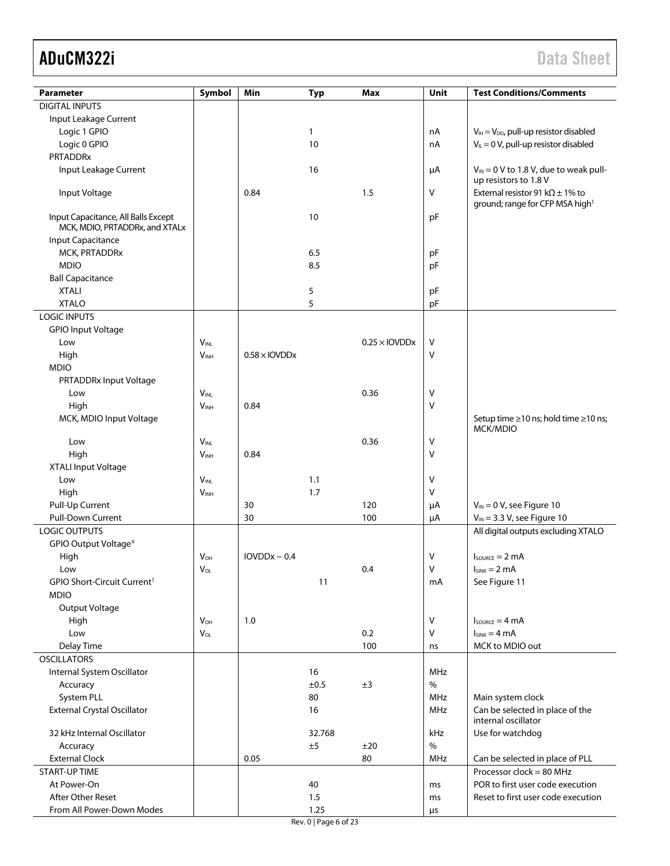| Parameter                               | Symbol                      | Min                  | <b>Typ</b> | Max                              | Unit     | <b>Test Conditions/Comments</b>                        |
|-----------------------------------------|-----------------------------|----------------------|------------|----------------------------------|----------|--------------------------------------------------------|
| <b>DIGITAL INPUTS</b>                   |                             |                      |            |                                  |          |                                                        |
| Input Leakage Current                   |                             |                      |            |                                  |          |                                                        |
| Logic 1 GPIO                            |                             |                      | 1          |                                  | nA       | $V_{IH} = V_{DD}$ , pull-up resistor disabled          |
| Logic 0 GPIO                            |                             |                      | 10         |                                  | nA       | $V_{IL} = 0$ V, pull-up resistor disabled              |
| <b>PRTADDRx</b>                         |                             |                      |            |                                  |          |                                                        |
| Input Leakage Current                   |                             |                      | 16         |                                  | μA       | $V_{IN}$ = 0 V to 1.8 V, due to weak pull-             |
|                                         |                             |                      |            |                                  |          | up resistors to 1.8 V                                  |
| Input Voltage                           |                             | 0.84                 |            | 1.5                              | V        | External resistor 91 k $\Omega$ ± 1% to                |
|                                         |                             |                      |            |                                  |          | ground; range for CFP MSA high <sup>1</sup>            |
| Input Capacitance, All Balls Except     |                             |                      | 10         |                                  | pF       |                                                        |
| MCK, MDIO, PRTADDRx, and XTALx          |                             |                      |            |                                  |          |                                                        |
| Input Capacitance<br>MCK, PRTADDRx      |                             |                      | 6.5        |                                  |          |                                                        |
| <b>MDIO</b>                             |                             |                      | 8.5        |                                  | pF<br>pF |                                                        |
| <b>Ball Capacitance</b>                 |                             |                      |            |                                  |          |                                                        |
| <b>XTALI</b>                            |                             |                      | 5          |                                  | pF       |                                                        |
| <b>XTALO</b>                            |                             |                      | 5          |                                  | pF       |                                                        |
| <b>LOGIC INPUTS</b>                     |                             |                      |            |                                  |          |                                                        |
| <b>GPIO Input Voltage</b>               |                             |                      |            |                                  |          |                                                        |
| Low                                     | $\mathsf{V}_{\mathsf{INL}}$ |                      |            | $0.25 \times$ IOVDD <sub>X</sub> | v        |                                                        |
| High                                    | $V_{INH}$                   | $0.58 \times$ IOVDDx |            |                                  | v        |                                                        |
| <b>MDIO</b>                             |                             |                      |            |                                  |          |                                                        |
| PRTADDRx Input Voltage                  |                             |                      |            |                                  |          |                                                        |
| Low                                     | $\mathsf{V}_{\mathsf{INL}}$ |                      |            | 0.36                             | ۷        |                                                        |
| High                                    | V <sub>INH</sub>            | 0.84                 |            |                                  | v        |                                                        |
| MCK, MDIO Input Voltage                 |                             |                      |            |                                  |          | Setup time ≥10 ns; hold time ≥10 ns;                   |
|                                         |                             |                      |            |                                  |          | MCK/MDIO                                               |
| Low                                     | $V_{INL}$                   |                      |            | 0.36                             | v        |                                                        |
| High                                    | V <sub>INH</sub>            | 0.84                 |            |                                  | v        |                                                        |
| XTALI Input Voltage                     |                             |                      |            |                                  |          |                                                        |
| Low                                     | V <sub>INL</sub>            |                      | 1.1        |                                  | ٧        |                                                        |
| High                                    | V <sub>INH</sub>            |                      | 1.7        |                                  | V        |                                                        |
| Pull-Up Current                         |                             | 30                   |            | 120                              | μA       | $V_{IN} = 0 V$ , see Figure 10                         |
| Pull-Down Current                       |                             | 30                   |            | 100                              | μA       | $V_{IN}$ = 3.3 V, see Figure 10                        |
| <b>LOGIC OUTPUTS</b>                    |                             |                      |            |                                  |          | All digital outputs excluding XTALO                    |
| GPIO Output Voltage <sup>6</sup>        |                             |                      |            |                                  |          |                                                        |
| High                                    | V <sub>OH</sub>             | $IOVDDx - 0.4$       |            |                                  | ۷        | $I_{\text{SOWRCE}} = 2 \text{ mA}$                     |
| Low                                     | VOL                         |                      |            | 0.4                              | v        | $I_{SINK} = 2 mA$                                      |
| GPIO Short-Circuit Current <sup>1</sup> |                             |                      | 11         |                                  | mA       | See Figure 11                                          |
| <b>MDIO</b>                             |                             |                      |            |                                  |          |                                                        |
| Output Voltage                          |                             |                      |            |                                  |          |                                                        |
| High                                    | $V_{OH}$                    | 1.0                  |            |                                  | V        | $I_{\text{SOWRCE}} = 4 \text{ mA}$                     |
| Low                                     | $V_{OL}$                    |                      |            | 0.2                              | V        | $I_{SINK} = 4 mA$                                      |
| Delay Time                              |                             |                      |            | 100                              | ns       | MCK to MDIO out                                        |
| <b>OSCILLATORS</b>                      |                             |                      |            |                                  |          |                                                        |
| Internal System Oscillator              |                             |                      | 16         |                                  | MHz      |                                                        |
| Accuracy                                |                             |                      | ±0.5       | ±3                               | $\%$     |                                                        |
| System PLL                              |                             |                      | 80         |                                  | MHz      | Main system clock                                      |
| <b>External Crystal Oscillator</b>      |                             |                      | 16         |                                  | MHz      | Can be selected in place of the<br>internal oscillator |
| 32 kHz Internal Oscillator              |                             |                      | 32.768     |                                  | kHz      | Use for watchdog                                       |
| Accuracy                                |                             |                      | ±5         | ±20                              | $\%$     |                                                        |
| <b>External Clock</b>                   |                             | 0.05                 |            | 80                               | MHz      | Can be selected in place of PLL                        |
| <b>START-UP TIME</b>                    |                             |                      |            |                                  |          | Processor clock = 80 MHz                               |
| At Power-On                             |                             |                      | 40         |                                  | ms       | POR to first user code execution                       |
| After Other Reset                       |                             |                      | 1.5        |                                  | ms       | Reset to first user code execution                     |
| From All Power-Down Modes               |                             |                      | 1.25       |                                  | μs       |                                                        |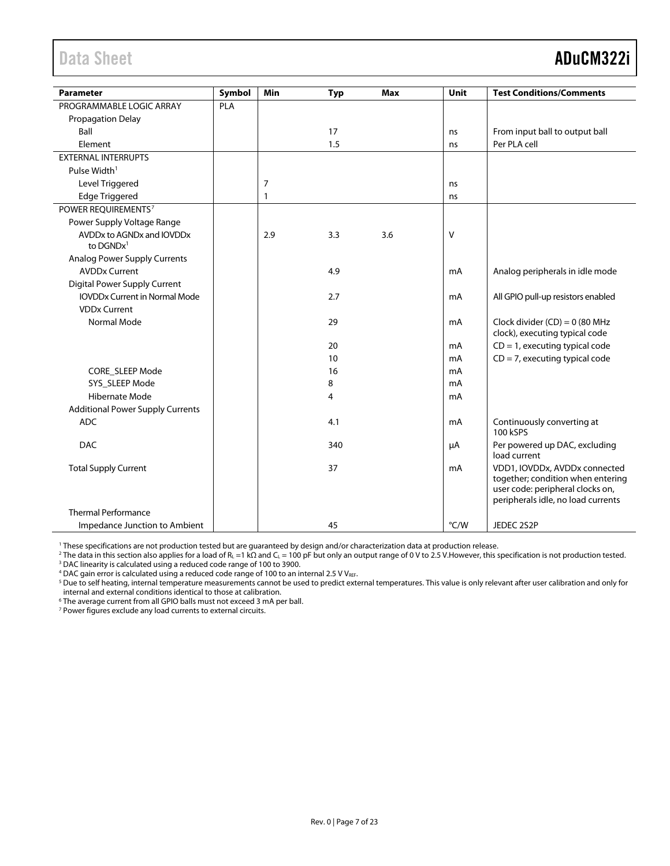<span id="page-6-0"></span>

| <b>Parameter</b>                                     | Symbol | Min          | <b>Typ</b> | <b>Max</b> | Unit   | <b>Test Conditions/Comments</b>                                                                                                              |
|------------------------------------------------------|--------|--------------|------------|------------|--------|----------------------------------------------------------------------------------------------------------------------------------------------|
| PROGRAMMABLE LOGIC ARRAY                             | PLA    |              |            |            |        |                                                                                                                                              |
| <b>Propagation Delay</b>                             |        |              |            |            |        |                                                                                                                                              |
| Ball                                                 |        |              | 17         |            | ns     | From input ball to output ball                                                                                                               |
| Element                                              |        |              | 1.5        |            | ns     | Per PLA cell                                                                                                                                 |
| <b>EXTERNAL INTERRUPTS</b>                           |        |              |            |            |        |                                                                                                                                              |
| Pulse Width <sup>1</sup>                             |        |              |            |            |        |                                                                                                                                              |
| Level Triggered                                      |        | 7            |            |            | ns     |                                                                                                                                              |
| <b>Edge Triggered</b>                                |        | $\mathbf{1}$ |            |            | ns     |                                                                                                                                              |
| POWER REOUIREMENTS <sup>7</sup>                      |        |              |            |            |        |                                                                                                                                              |
| Power Supply Voltage Range                           |        |              |            |            |        |                                                                                                                                              |
| AVDDx to AGNDx and IOVDDx<br>to $DGNDx$ <sup>1</sup> |        | 2.9          | 3.3        | 3.6        | $\vee$ |                                                                                                                                              |
| Analog Power Supply Currents                         |        |              |            |            |        |                                                                                                                                              |
| <b>AVDDx Current</b>                                 |        |              | 4.9        |            | mA     | Analog peripherals in idle mode                                                                                                              |
| <b>Digital Power Supply Current</b>                  |        |              |            |            |        |                                                                                                                                              |
| <b>IOVDDx Current in Normal Mode</b>                 |        |              | 2.7        |            | mA     | All GPIO pull-up resistors enabled                                                                                                           |
| <b>VDDx Current</b>                                  |        |              |            |            |        |                                                                                                                                              |
| Normal Mode                                          |        |              | 29         |            | mA     | Clock divider $(CD) = 0$ (80 MHz<br>clock), executing typical code                                                                           |
|                                                      |        |              | 20         |            | mA     | $CD = 1$ , executing typical code                                                                                                            |
|                                                      |        |              | 10         |            | mA     | $CD = 7$ , executing typical code                                                                                                            |
| CORE_SLEEP Mode                                      |        |              | 16         |            | mA     |                                                                                                                                              |
| SYS_SLEEP Mode                                       |        |              | 8          |            | mA     |                                                                                                                                              |
| <b>Hibernate Mode</b>                                |        |              | 4          |            | mA     |                                                                                                                                              |
| <b>Additional Power Supply Currents</b>              |        |              |            |            |        |                                                                                                                                              |
| <b>ADC</b>                                           |        |              | 4.1        |            | mA     | Continuously converting at<br>100 kSPS                                                                                                       |
| <b>DAC</b>                                           |        |              | 340        |            | μA     | Per powered up DAC, excluding<br>load current                                                                                                |
| <b>Total Supply Current</b>                          |        |              | 37         |            | mA     | VDD1, IOVDDx, AVDDx connected<br>together; condition when entering<br>user code: peripheral clocks on,<br>peripherals idle, no load currents |
| <b>Thermal Performance</b>                           |        |              |            |            |        |                                                                                                                                              |
| Impedance Junction to Ambient                        |        |              | 45         |            | °C/W   | JEDEC 2S2P                                                                                                                                   |

<sup>1</sup> These specifications are not production tested but are guaranteed by design and/or characterization data at production release.

<sup>2</sup> The data in this section also applies for a load of R<sub>L</sub> =1 kΩ and C<sub>L</sub> = 100 pF but only an output range of 0 V to 2.5 V.However, this specification is not production tested. <sup>3</sup> DAC linearity is calculated using a reduced code range of 100 to 3900.

 $4$  DAC gain error is calculated using a reduced code range of 100 to an internal 2.5 V VREF.

<sup>5</sup> Due to self heating, internal temperature measurements cannot be used to predict external temperatures. This value is only relevant after user calibration and only for internal and external conditions identical to those at calibration.

<sup>6</sup> The average current from all GPIO balls must not exceed 3 mA per ball.

<sup>7</sup> Power figures exclude any load currents to external circuits.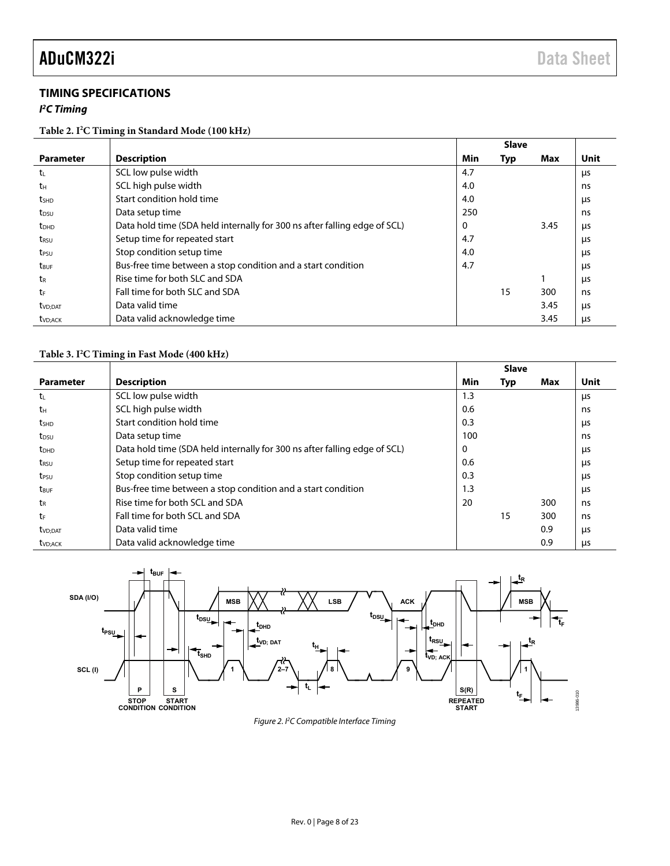### **TIMING SPECIFICATIONS**

#### **I 2 C Timing**

**Table 2. I2 C Timing in Standard Mode (100 kHz)** 

|                         |                                                                           |     | <b>Slave</b> |      |      |
|-------------------------|---------------------------------------------------------------------------|-----|--------------|------|------|
| <b>Parameter</b>        | <b>Description</b>                                                        | Min | Typ          | Max  | Unit |
| tı.                     | SCL low pulse width                                                       | 4.7 |              |      | μs   |
| tн                      | SCL high pulse width                                                      | 4.0 |              |      | ns   |
| t <sub>SHD</sub>        | Start condition hold time                                                 | 4.0 |              |      | μs   |
| t <sub>DSU</sub>        | Data setup time                                                           | 250 |              |      | ns   |
| <b>t</b> <sub>DHD</sub> | Data hold time (SDA held internally for 300 ns after falling edge of SCL) | 0   |              | 3.45 | μs   |
| t <sub>rsu</sub>        | Setup time for repeated start                                             | 4.7 |              |      | μs   |
| t <sub>PSU</sub>        | Stop condition setup time                                                 | 4.0 |              |      | μs   |
| t <sub>BUF</sub>        | Bus-free time between a stop condition and a start condition              | 4.7 |              |      | μs   |
| tr                      | Rise time for both SLC and SDA                                            |     |              |      | μs   |
| tr                      | Fall time for both SLC and SDA                                            |     | 15           | 300  | ns   |
| t <sub>VD</sub> ;DAT    | Data valid time                                                           |     |              | 3.45 | us   |
| t <sub>VD:ACK</sub>     | Data valid acknowledge time                                               |     |              | 3.45 | μs   |

#### **Table 3. I2 C Timing in Fast Mode (400 kHz)**

|                         |                                                                           |     | <b>Slave</b> |     |      |
|-------------------------|---------------------------------------------------------------------------|-----|--------------|-----|------|
| <b>Parameter</b>        | <b>Description</b>                                                        | Min | Typ          | Max | Unit |
| t                       | SCL low pulse width                                                       | 1.3 |              |     | μs   |
| tн                      | SCL high pulse width                                                      | 0.6 |              |     | ns   |
| t <sub>SHD</sub>        | Start condition hold time                                                 | 0.3 |              |     | μs   |
| t <sub>DSU</sub>        | Data setup time                                                           | 100 |              |     | ns   |
| <b>t</b> <sub>DHD</sub> | Data hold time (SDA held internally for 300 ns after falling edge of SCL) | 0   |              |     | μs   |
| t <sub>RSU</sub>        | Setup time for repeated start                                             | 0.6 |              |     | μs   |
| t <sub>PSU</sub>        | Stop condition setup time                                                 | 0.3 |              |     | μs   |
| t <sub>BUF</sub>        | Bus-free time between a stop condition and a start condition              | 1.3 |              |     | us   |
| t <sub>R</sub>          | Rise time for both SCL and SDA                                            | 20  |              | 300 | ns   |
| tF                      | Fall time for both SCL and SDA                                            |     | 15           | 300 | ns   |
| t <sub>VD;DAT</sub>     | Data valid time                                                           |     |              | 0.9 | μs   |
| t <sub>VD</sub> ; ACK   | Data valid acknowledge time                                               |     |              | 0.9 | μs   |



Figure 2. PC Compatible Interface Timing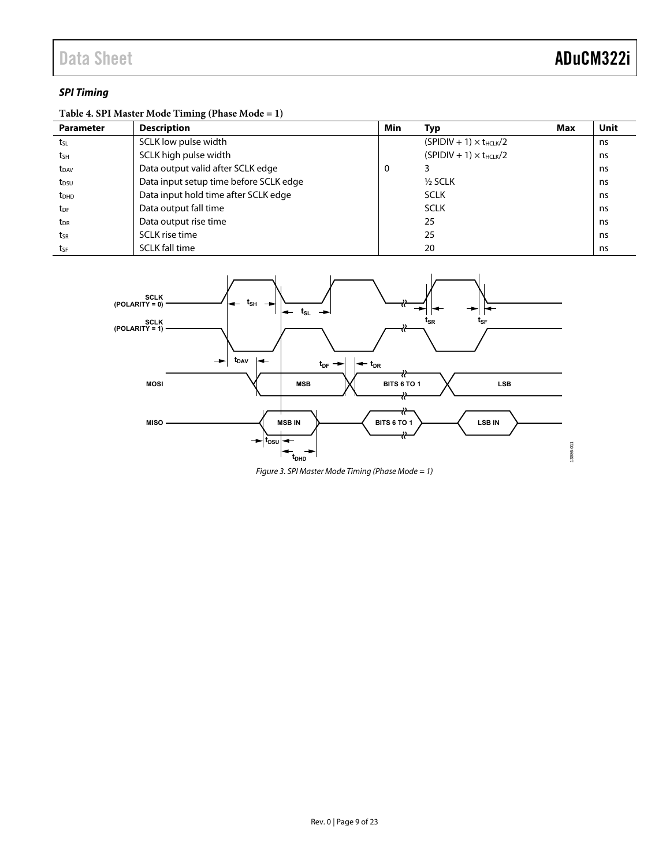#### **SPI Timing**

### **Table 4. SPI Master Mode Timing (Phase Mode = 1)**

| <b>Parameter</b> | <b>Description</b>                     | <b>Min</b> | Тур                              | Max | Unit |
|------------------|----------------------------------------|------------|----------------------------------|-----|------|
| tsL              | SCLK low pulse width                   |            | $(SPIDIV + 1) \times t_{HCLK}/2$ |     | ns   |
| tsh              | SCLK high pulse width                  |            | $(SPIDIV + 1) \times t_{HCLK}/2$ |     | ns   |
| t <sub>DAV</sub> | Data output valid after SCLK edge      | 0          |                                  |     | ns   |
| t <sub>DSU</sub> | Data input setup time before SCLK edge |            | $\frac{1}{2}$ SCLK               |     | ns   |
| t <sub>DHD</sub> | Data input hold time after SCLK edge   |            | <b>SCLK</b>                      |     | ns   |
| t <sub>DF</sub>  | Data output fall time                  |            | <b>SCLK</b>                      |     | ns   |
| $t_{DR}$         | Data output rise time                  |            | 25                               |     | ns   |
| tsr              | SCLK rise time                         |            | 25                               |     | ns   |
| tsF              | <b>SCLK fall time</b>                  |            | 20                               |     | ns   |



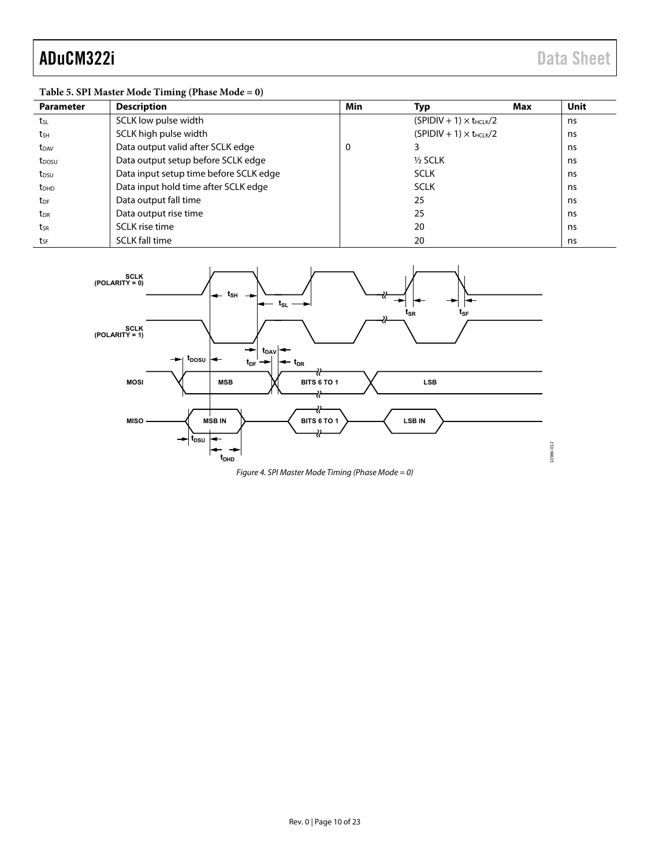13986-012

### **Table 5. SPI Master Mode Timing (Phase Mode = 0)**

| <b>Parameter</b>        | <b>Description</b>                     | Min | Typ                              | Max | <b>Unit</b> |
|-------------------------|----------------------------------------|-----|----------------------------------|-----|-------------|
| tsL                     | SCLK low pulse width                   |     | $(SPIDIV + 1) \times t_{HCLK}/2$ |     | ns          |
| t <sub>sн</sub>         | SCLK high pulse width                  |     | $(SPIDIV + 1) \times t_{HCIK}/2$ |     | ns          |
| t <sub>DAV</sub>        | Data output valid after SCLK edge      | 0   |                                  |     | ns          |
| t <sub>DOSU</sub>       | Data output setup before SCLK edge     |     | $1/2$ SCLK                       |     | ns          |
| t <sub>DSU</sub>        | Data input setup time before SCLK edge |     | <b>SCLK</b>                      |     | ns          |
| <b>t</b> <sub>DHD</sub> | Data input hold time after SCLK edge   |     | <b>SCLK</b>                      |     | ns          |
| t <sub>DF</sub>         | Data output fall time                  |     | 25                               |     | ns.         |
| $t_{\text{DR}}$         | Data output rise time                  |     | 25                               |     | ns          |
| tsr                     | SCLK rise time                         |     | 20                               |     | ns          |
| tsF                     | <b>SCLK fall time</b>                  |     | 20                               |     | ns          |



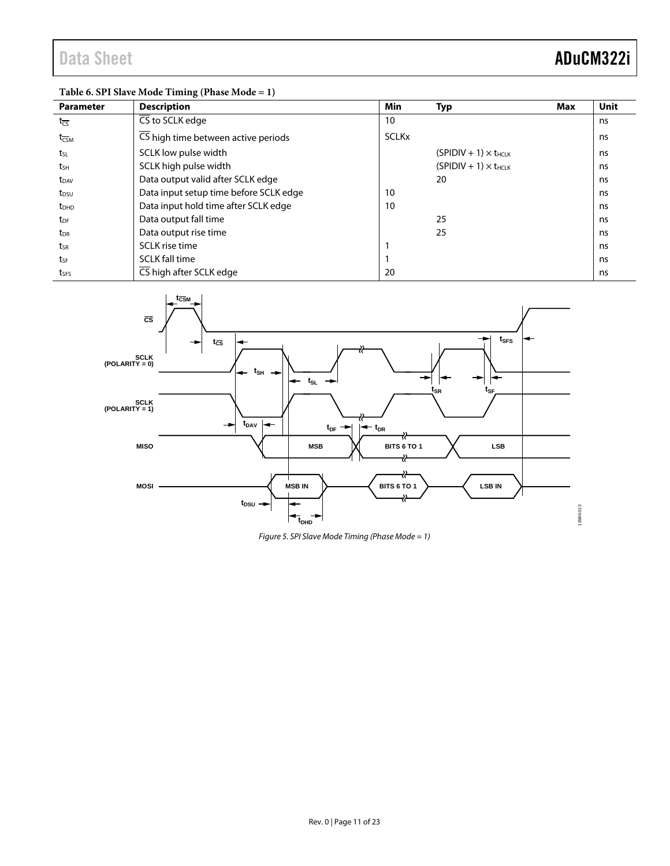### **Table 6. SPI Slave Mode Timing (Phase Mode = 1)**

| <b>Parameter</b>            | <b>Description</b>                     | Min          | <b>Typ</b>                     | Max | Unit |
|-----------------------------|----------------------------------------|--------------|--------------------------------|-----|------|
| $t_{\overline{CS}}$         | $\overline{\text{CS}}$ to SCLK edge    | 10           |                                |     | ns   |
| $t_{\overline{\text{CSM}}}$ | CS high time between active periods    | <b>SCLKx</b> |                                |     | ns   |
| tsı                         | SCLK low pulse width                   |              | $(SPIDIV + 1) \times t_{HCLK}$ |     | ns   |
| tsh                         | SCLK high pulse width                  |              | $(SPIDIV + 1) \times t_{HCLK}$ |     | ns   |
| $t_{DAV}$                   | Data output valid after SCLK edge      |              | 20                             |     | ns   |
| t <sub>DSU</sub>            | Data input setup time before SCLK edge | 10           |                                |     | ns   |
| <b>t</b> <sub>DHD</sub>     | Data input hold time after SCLK edge   | 10           |                                |     | ns   |
| t <sub>DF</sub>             | Data output fall time                  |              | 25                             |     | ns   |
| t <sub>DR</sub>             | Data output rise time                  |              | 25                             |     | ns   |
| tsr                         | SCLK rise time                         |              |                                |     | ns   |
| tsF                         | <b>SCLK fall time</b>                  |              |                                |     | ns   |
| tses                        | CS high after SCLK edge                | 20           |                                |     | ns   |



*Figure 5. SPI Slave Mode Timing (Phase Mode = 1)*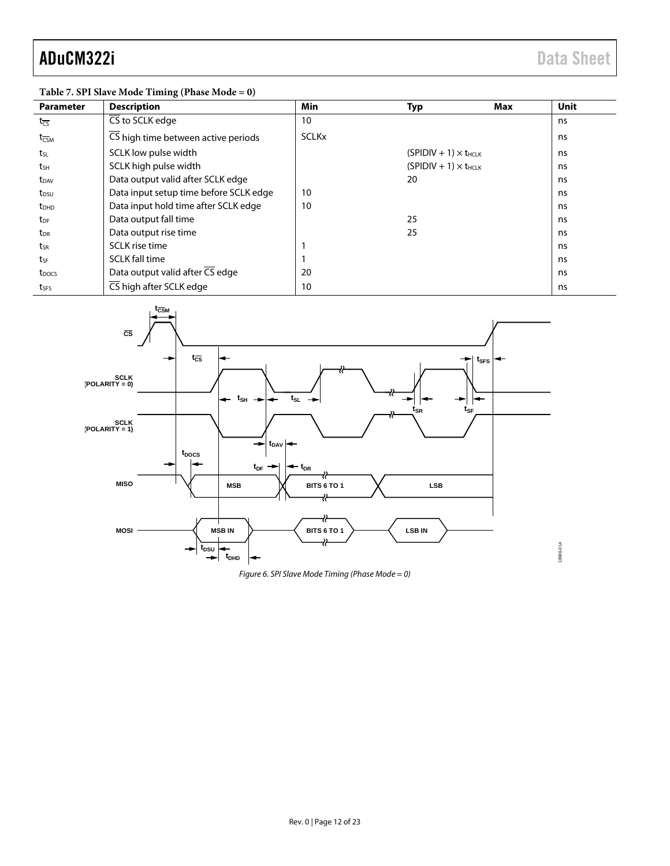13986-014

| <b>Parameter</b>            | <b>Description</b>                     | Min          | <b>Typ</b>                     | Max | Unit |
|-----------------------------|----------------------------------------|--------------|--------------------------------|-----|------|
| $t_{\overline{CS}}$         | CS to SCLK edge                        | 10           |                                |     | ns   |
| $t_{\overline{\text{CSM}}}$ | CS high time between active periods    | <b>SCLKx</b> |                                |     | ns   |
| t <sub>sL</sub>             | SCLK low pulse width                   |              | $(SPIDIV + 1) \times t_{HCIK}$ |     | ns   |
| tsн                         | SCLK high pulse width                  |              | $(SPIDIV + 1) \times t_{HCLK}$ |     | ns   |
| t <sub>DAV</sub>            | Data output valid after SCLK edge      |              | 20                             |     | ns   |
| t <sub>DSU</sub>            | Data input setup time before SCLK edge | 10           |                                |     | ns   |
| <b>t</b> <sub>DHD</sub>     | Data input hold time after SCLK edge   | 10           |                                |     | ns   |
| t <sub>DF</sub>             | Data output fall time                  |              | 25                             |     | ns   |
| t <sub>DR</sub>             | Data output rise time                  |              | 25                             |     | ns   |
| tsr                         | SCLK rise time                         |              |                                |     | ns   |
| tsF                         | <b>SCLK</b> fall time                  |              |                                |     | ns   |
| t <sub>DOCS</sub>           | Data output valid after CS edge        | 20           |                                |     | ns   |
| tses                        | CS high after SCLK edge                | 10           |                                |     | ns   |



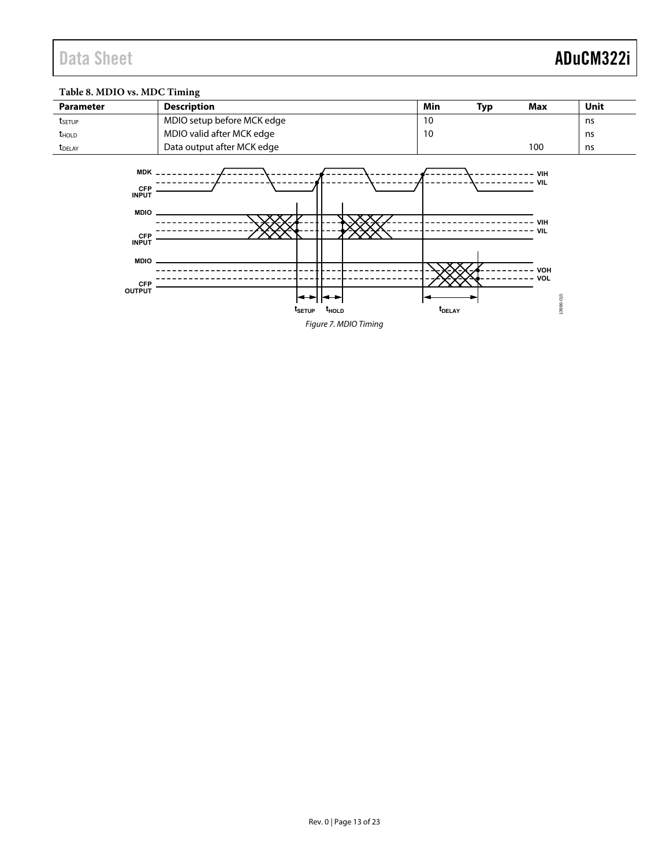### **Table 8. MDIO vs. MDC Timing**

| <b>Parameter</b>                                                                                                                   | <b>Description</b>                                            | Min                       | <b>Typ</b> | Max                                                             | Unit |  |  |  |
|------------------------------------------------------------------------------------------------------------------------------------|---------------------------------------------------------------|---------------------------|------------|-----------------------------------------------------------------|------|--|--|--|
| tsetup                                                                                                                             | MDIO setup before MCK edge                                    | 10                        |            |                                                                 | ns   |  |  |  |
| <b>t</b> <sub>HOLD</sub>                                                                                                           | MDIO valid after MCK edge                                     | 10                        |            |                                                                 | ns   |  |  |  |
| t <sub>DELAY</sub>                                                                                                                 | Data output after MCK edge                                    |                           |            | 100                                                             | ns   |  |  |  |
| $MDK$ $-$<br><b>CFP</b><br><b>INPUT</b><br><b>MDIO</b><br><b>CFP</b><br><b>INPUT</b><br><b>MDIO</b><br><b>CFP</b><br><b>OUTPUT</b> | ↔<br>⊷<br>$t_{\scriptstyle\text{SETUP}}$<br>t <sub>hold</sub> | <b>t</b> <sub>DELAY</sub> |            | - VIH<br>- VIL<br>VIII<br><b>VIL</b><br>VOH<br>VOL<br>13986-015 |      |  |  |  |
| Figure 7. MDIO Timing                                                                                                              |                                                               |                           |            |                                                                 |      |  |  |  |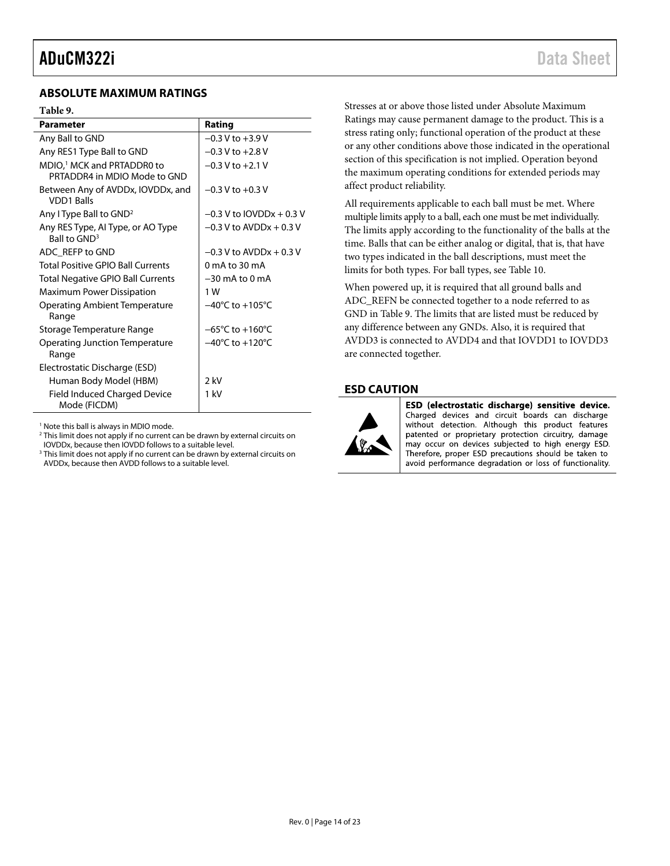#### <span id="page-13-0"></span>**ABSOLUTE MAXIMUM RATINGS**

#### <span id="page-13-2"></span>**Table 9.**

| <b>Parameter</b>                                                       | Rating                              |
|------------------------------------------------------------------------|-------------------------------------|
| Any Ball to GND                                                        | $-0.3$ V to $+3.9$ V                |
| Any RES1 Type Ball to GND                                              | $-0.3$ V to $+2.8$ V                |
| MDIO, <sup>1</sup> MCK and PRTADDR0 to<br>PRTADDR4 in MDIO Mode to GND | $-0.3$ V to $+2.1$ V                |
| Between Any of AVDDx, IOVDDx, and<br><b>VDD1 Balls</b>                 | $-0.3$ V to $+0.3$ V                |
| Any I Type Ball to GND <sup>2</sup>                                    | $-0.3$ V to IOVDDx $+0.3$ V         |
| Any RES Type, AI Type, or AO Type<br>Ball to GND <sup>3</sup>          | $-0.3$ V to AVDDx $+0.3$ V          |
| ADC REFP to GND                                                        | $-0.3$ V to AVDDx $+0.3$ V          |
| Total Positive GPIO Ball Currents                                      | 0 mA to 30 mA                       |
| <b>Total Negative GPIO Ball Currents</b>                               | $-30$ mA to 0 mA                    |
| Maximum Power Dissipation                                              | 1 W                                 |
| Operating Ambient Temperature<br>Range                                 | $-40^{\circ}$ C to $+105^{\circ}$ C |
| Storage Temperature Range                                              | $-65^{\circ}$ C to $+160^{\circ}$ C |
| Operating Junction Temperature<br>Range                                | $-40^{\circ}$ C to $+120^{\circ}$ C |
| Electrostatic Discharge (ESD)                                          |                                     |
| Human Body Model (HBM)                                                 | 2 kV                                |
| <b>Field Induced Charged Device</b><br>Mode (FICDM)                    | 1 kV                                |

<sup>1</sup> Note this ball is always in MDIO mode.

<sup>2</sup> This limit does not apply if no current can be drawn by external circuits on IOVDDx, because then IOVDD follows to a suitable level.

<sup>3</sup> This limit does not apply if no current can be drawn by external circuits on AVDDx, because then AVDD follows to a suitable level.

Stresses at or above those listed under Absolute Maximum Ratings may cause permanent damage to the product. This is a stress rating only; functional operation of the product at these or any other conditions above those indicated in the operational section of this specification is not implied. Operation beyond the maximum operating conditions for extended periods may affect product reliability.

All requirements applicable to each ball must be met. Where multiple limits apply to a ball, each one must be met individually. The limits apply according to the functionality of the balls at the time. Balls that can be either analog or digital, that is, that have two types indicated in the ball descriptions, must meet the limits for both types. For ball types, see [Table 10.](#page-14-1)

When powered up, it is required that all ground balls and ADC\_REFN be connected together to a node referred to as GND in [Table 9.](#page-13-2) The limits that are listed must be reduced by any difference between any GNDs. Also, it is required that AVDD3 is connected to AVDD4 and that IOVDD1 to IOVDD3 are connected together.

#### <span id="page-13-1"></span>**ESD CAUTION**



ESD (electrostatic discharge) sensitive device. Charged devices and circuit boards can discharge without detection. Although this product features patented or proprietary protection circuitry, damage may occur on devices subjected to high energy ESD. Therefore, proper ESD precautions should be taken to avoid performance degradation or loss of functionality.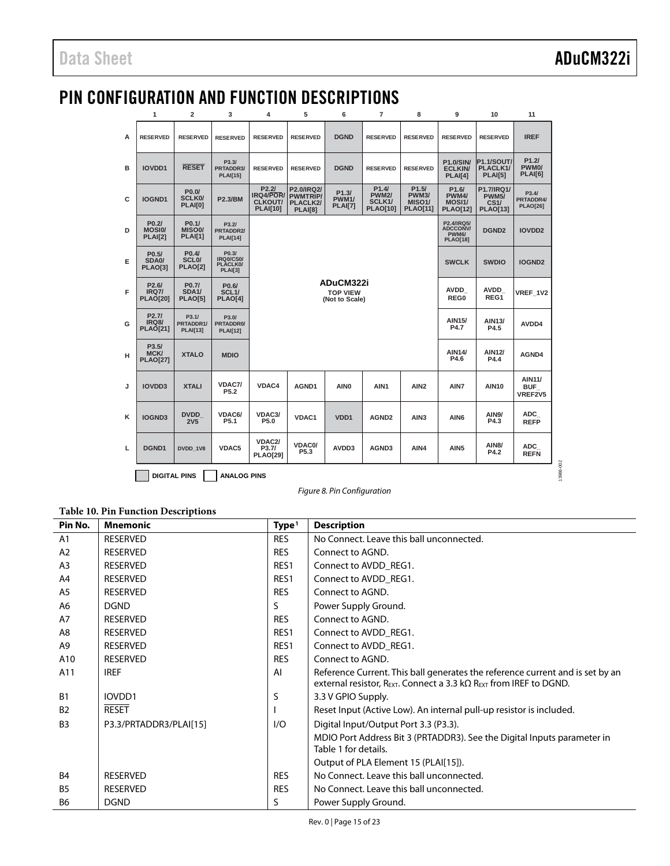13986-002

13986-002

## <span id="page-14-0"></span>PIN CONFIGURATION AND FUNCTION DESCRIPTIONS

|   | $\mathbf{1}$                                                                                                                                              | $\overline{2}$                                     | 3                                                          | 4                                                              | 5                                                           | 6                                              | $\overline{7}$                                                  | 8                                                               | 9                                                        | 10                                                    | 11                                     |
|---|-----------------------------------------------------------------------------------------------------------------------------------------------------------|----------------------------------------------------|------------------------------------------------------------|----------------------------------------------------------------|-------------------------------------------------------------|------------------------------------------------|-----------------------------------------------------------------|-----------------------------------------------------------------|----------------------------------------------------------|-------------------------------------------------------|----------------------------------------|
| A | <b>RESERVED</b>                                                                                                                                           | <b>RESERVED</b>                                    | <b>RESERVED</b>                                            | <b>RESERVED</b>                                                | <b>RESERVED</b>                                             | <b>DGND</b>                                    | <b>RESERVED</b>                                                 | <b>RESERVED</b>                                                 | <b>RESERVED</b>                                          | <b>RESERVED</b>                                       | <b>IREF</b>                            |
| в | <b>IOVDD1</b>                                                                                                                                             | <b>RESET</b>                                       | P3.3/<br>PRTADDR3/<br><b>PLAI[15]</b>                      | <b>RESERVED</b>                                                | <b>RESERVED</b>                                             | <b>DGND</b>                                    | <b>RESERVED</b>                                                 | <b>RESERVED</b>                                                 | <b>P1.0/SIN/</b><br><b>ECLKIN</b><br>PLAI[4]             | <b>P1.1/SOUT/</b><br>PLACLK1/<br><b>PLAI[5]</b>       | P1.2I<br>PWM <sub>0</sub> /<br>PLAI[6] |
| c | IOGND1                                                                                                                                                    | P0.0/<br><b>SCLK0/</b><br>PLAI[0]                  | <b>P2.3/BM</b>                                             | P2.2I<br><b>IRQ4/POR/</b><br><b>CLKOUT/</b><br><b>PLAI[10]</b> | P2.0/IRQ2/<br><b>PWMTRIP/</b><br>PLACLK2/<br><b>PLAI[8]</b> | P1.3/<br><b>PWM1/</b><br>PLAI[7]               | P1.4/<br><b>PWM2/</b><br>SCLK <sub>1</sub> /<br><b>PLAO[10]</b> | P1.5/<br><b>PWM3/</b><br>MISO <sub>1</sub> /<br><b>PLAO[11]</b> | P <sub>1.6</sub> /<br>PWM4/<br>MOSI1/<br><b>PLAO[12]</b> | P1.7/IRQ1/<br><b>PWM5/</b><br>CS1/<br><b>PLAO[13]</b> | P3.4/<br>PRTADDR4/<br><b>PLAO[26]</b>  |
| D | P <sub>0.2</sub><br>P <sub>0.1</sub><br>P3.21<br><b>MOSIO/</b><br>MISO <sub>0</sub> /<br>PRTADDR2/<br><b>PLAI[2]</b><br><b>PLAI[1]</b><br><b>PLAI[14]</b> |                                                    |                                                            |                                                                |                                                             |                                                |                                                                 |                                                                 |                                                          | DGND <sub>2</sub>                                     | IOVDD <sub>2</sub>                     |
| Е | P <sub>0.5</sub><br>SDA <sub>0</sub> /<br><b>PLAO[3]</b>                                                                                                  | P0.4/<br>SCL <sub>0</sub> /<br><b>PLAO[2]</b>      | P0.3/<br><b>IRQ0/CS0/</b><br>PLACLK0/<br><b>PLAI[3]</b>    |                                                                |                                                             |                                                | <b>SWCLK</b>                                                    | <b>SWDIO</b>                                                    | <b>IOGND2</b>                                            |                                                       |                                        |
| F | P <sub>2.6</sub> /<br><b>IRQ7/</b><br><b>PLAO[20]</b>                                                                                                     | P0.7/<br><b>SDA1/</b><br><b>PLAO[5]</b>            | P <sub>0.6</sub> /<br>SCL <sub>1</sub> /<br><b>PLAO[4]</b> |                                                                |                                                             | ADuCM322i<br><b>TOP VIEW</b><br>(Not to Scale) | <b>AVDD</b><br>REG0                                             | <b>AVDD</b><br>REG1                                             | VREF 1V2                                                 |                                                       |                                        |
| G | P <sub>2.7</sub> /<br><b>IRQ8/</b><br><b>PLAO[21]</b>                                                                                                     | P <sub>3.1</sub> /<br>PRTADDR1/<br><b>PLAI[13]</b> | P3.0/<br>PRTADDR0/<br><b>PLAI[12]</b>                      |                                                                |                                                             |                                                | <b>AIN15/</b><br>P4.7                                           | <b>AIN13/</b><br>P4.5                                           | AVDD4                                                    |                                                       |                                        |
| н | P3.5/<br><b>MCK/</b><br><b>PLAO[27]</b>                                                                                                                   | <b>XTALO</b>                                       | <b>MDIO</b>                                                |                                                                |                                                             |                                                |                                                                 | <b>AIN14/</b><br>P4.6                                           | <b>AIN12/</b><br>P4.4                                    | AGND4                                                 |                                        |
| J | <b>IOVDD3</b>                                                                                                                                             | <b>XTALI</b>                                       | VDAC7/<br>P <sub>5.2</sub>                                 | VDAC4                                                          | AGND1                                                       | AIN <sub>0</sub>                               | AIN <sub>1</sub>                                                | AIN <sub>2</sub>                                                | AIN7                                                     | <b>AIN10</b>                                          | <b>AIN11/</b><br><b>BUF</b><br>VREF2V5 |
| ĸ | <b>IOGND3</b>                                                                                                                                             | <b>DVDD</b><br><b>2V5</b>                          | <b>VDAC6/</b><br>P <sub>5.1</sub>                          | VDAC3/<br>P5.0                                                 | <b>VDAC1</b>                                                | VD <sub>D</sub> 1                              | AGND <sub>2</sub>                                               | AIN <sub>3</sub>                                                | AIN <sub>6</sub>                                         | <b>AIN9/</b><br>P4.3                                  | ADC<br><b>REFP</b>                     |
| Ц | DGND1                                                                                                                                                     | DVDD 1V8                                           | VDAC5                                                      | VDAC2/<br>P3.7/<br><b>PLAO[29]</b>                             | VDAC0/<br>P5.3                                              | AVDD3                                          | AGND3                                                           | AIN4                                                            | AIN <sub>5</sub>                                         | <b>AIN8/</b><br>P4.2                                  | ADC<br><b>REFN</b>                     |
|   | <b>DIGITAL PINS</b><br><b>ANALOG PINS</b>                                                                                                                 |                                                    |                                                            |                                                                |                                                             |                                                |                                                                 |                                                                 |                                                          |                                                       |                                        |

*Figure 8. Pin Configuration*

<span id="page-14-1"></span>**Table 10. Pin Function Descriptions**

| Pin No.        | <b>Mnemonic</b>        | Type <sup>1</sup> | <b>Description</b>                                                                                                                                                                  |
|----------------|------------------------|-------------------|-------------------------------------------------------------------------------------------------------------------------------------------------------------------------------------|
| A1             | <b>RESERVED</b>        | <b>RES</b>        | No Connect. Leave this ball unconnected.                                                                                                                                            |
| A2             | <b>RESERVED</b>        | <b>RES</b>        | Connect to AGND.                                                                                                                                                                    |
| A <sub>3</sub> | <b>RESERVED</b>        | RES1              | Connect to AVDD REG1.                                                                                                                                                               |
| A4             | <b>RESERVED</b>        | RES1              | Connect to AVDD REG1.                                                                                                                                                               |
| A <sub>5</sub> | <b>RESERVED</b>        | <b>RES</b>        | Connect to AGND.                                                                                                                                                                    |
| A6             | <b>DGND</b>            | S                 | Power Supply Ground.                                                                                                                                                                |
| A7             | <b>RESERVED</b>        | <b>RES</b>        | Connect to AGND.                                                                                                                                                                    |
| A8             | <b>RESERVED</b>        | RES1              | Connect to AVDD REG1.                                                                                                                                                               |
| A9             | <b>RESERVED</b>        | RES1              | Connect to AVDD REG1.                                                                                                                                                               |
| A10            | <b>RESERVED</b>        | <b>RES</b>        | Connect to AGND.                                                                                                                                                                    |
| A11            | <b>IREF</b>            | AI                | Reference Current. This ball generates the reference current and is set by an<br>external resistor, $R_{\text{EXT}}$ . Connect a 3.3 k $\Omega$ $R_{\text{EXT}}$ from IREF to DGND. |
| B <sub>1</sub> | IOVDD1                 | S                 | 3.3 V GPIO Supply.                                                                                                                                                                  |
| <b>B2</b>      | <b>RESET</b>           |                   | Reset Input (Active Low). An internal pull-up resistor is included.                                                                                                                 |
| B <sub>3</sub> | P3.3/PRTADDR3/PLAI[15] | 1/O               | Digital Input/Output Port 3.3 (P3.3).                                                                                                                                               |
|                |                        |                   | MDIO Port Address Bit 3 (PRTADDR3). See the Digital Inputs parameter in<br>Table 1 for details.                                                                                     |
|                |                        |                   | Output of PLA Element 15 (PLAI[15]).                                                                                                                                                |
| <b>B4</b>      | <b>RESERVED</b>        | <b>RES</b>        | No Connect. Leave this ball unconnected.                                                                                                                                            |
| <b>B5</b>      | <b>RESERVED</b>        | <b>RES</b>        | No Connect. Leave this ball unconnected.                                                                                                                                            |
| B <sub>6</sub> | <b>DGND</b>            | S                 | Power Supply Ground.                                                                                                                                                                |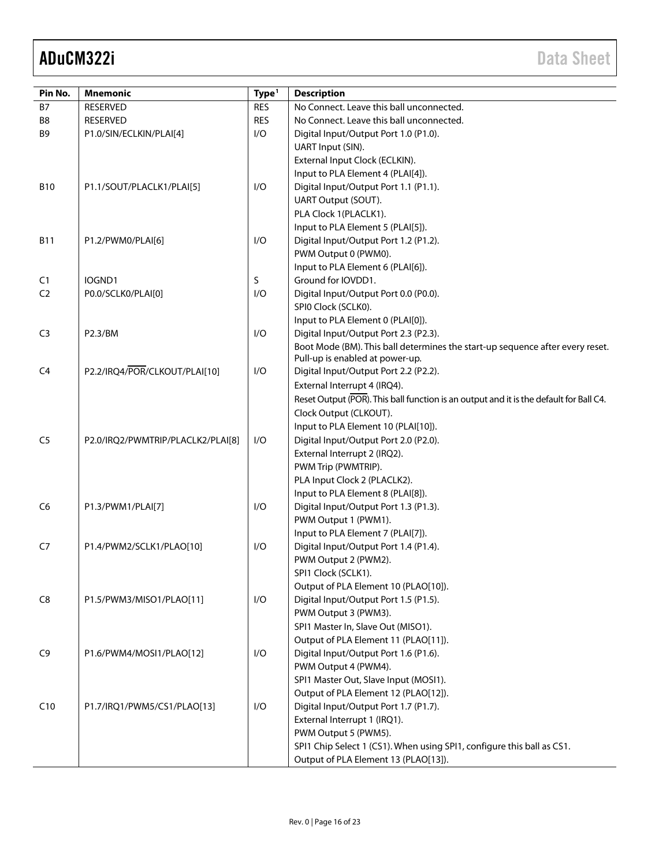| Pin No.        | <b>Mnemonic</b>                   | Type <sup>1</sup> | <b>Description</b>                                                                     |
|----------------|-----------------------------------|-------------------|----------------------------------------------------------------------------------------|
| <b>B7</b>      | <b>RESERVED</b>                   | <b>RES</b>        | No Connect. Leave this ball unconnected.                                               |
| B <sub>8</sub> | <b>RESERVED</b>                   | <b>RES</b>        | No Connect. Leave this ball unconnected.                                               |
| B <sub>9</sub> |                                   | I/O               |                                                                                        |
|                | P1.0/SIN/ECLKIN/PLAI[4]           |                   | Digital Input/Output Port 1.0 (P1.0).                                                  |
|                |                                   |                   | UART Input (SIN).                                                                      |
|                |                                   |                   | External Input Clock (ECLKIN).                                                         |
|                |                                   |                   | Input to PLA Element 4 (PLAI[4]).                                                      |
| <b>B10</b>     | P1.1/SOUT/PLACLK1/PLAI[5]         | I/O               | Digital Input/Output Port 1.1 (P1.1).                                                  |
|                |                                   |                   | UART Output (SOUT).                                                                    |
|                |                                   |                   | PLA Clock 1(PLACLK1).                                                                  |
|                |                                   |                   | Input to PLA Element 5 (PLAI[5]).                                                      |
| <b>B11</b>     | P1.2/PWM0/PLAI[6]                 | I/O               | Digital Input/Output Port 1.2 (P1.2).                                                  |
|                |                                   |                   | PWM Output 0 (PWM0).                                                                   |
|                |                                   |                   | Input to PLA Element 6 (PLAI[6]).                                                      |
| C1             | IOGND1                            | S                 | Ground for IOVDD1.                                                                     |
| C <sub>2</sub> | P0.0/SCLK0/PLAI[0]                | I/O               | Digital Input/Output Port 0.0 (P0.0).                                                  |
|                |                                   |                   | SPIO Clock (SCLKO).                                                                    |
|                |                                   |                   | Input to PLA Element 0 (PLAI[0]).                                                      |
| C <sub>3</sub> | P2.3/BM                           | I/O               | Digital Input/Output Port 2.3 (P2.3).                                                  |
|                |                                   |                   | Boot Mode (BM). This ball determines the start-up sequence after every reset.          |
|                |                                   |                   | Pull-up is enabled at power-up.                                                        |
| C <sub>4</sub> | P2.2/IRQ4/POR/CLKOUT/PLAI[10]     | I/O               | Digital Input/Output Port 2.2 (P2.2).                                                  |
|                |                                   |                   | External Interrupt 4 (IRQ4).                                                           |
|                |                                   |                   | Reset Output (POR). This ball function is an output and it is the default for Ball C4. |
|                |                                   |                   | Clock Output (CLKOUT).                                                                 |
|                |                                   |                   | Input to PLA Element 10 (PLAI[10]).                                                    |
| C <sub>5</sub> | P2.0/IRQ2/PWMTRIP/PLACLK2/PLAI[8] | I/O               | Digital Input/Output Port 2.0 (P2.0).                                                  |
|                |                                   |                   | External Interrupt 2 (IRQ2).                                                           |
|                |                                   |                   | PWM Trip (PWMTRIP).                                                                    |
|                |                                   |                   |                                                                                        |
|                |                                   |                   | PLA Input Clock 2 (PLACLK2).                                                           |
|                |                                   |                   | Input to PLA Element 8 (PLAI[8]).                                                      |
| C <sub>6</sub> | P1.3/PWM1/PLAI[7]                 | I/O               | Digital Input/Output Port 1.3 (P1.3).                                                  |
|                |                                   |                   | PWM Output 1 (PWM1).                                                                   |
|                |                                   |                   | Input to PLA Element 7 (PLAI[7]).                                                      |
| C7             | P1.4/PWM2/SCLK1/PLAO[10]          | I/O               | Digital Input/Output Port 1.4 (P1.4).                                                  |
|                |                                   |                   | PWM Output 2 (PWM2).                                                                   |
|                |                                   |                   | SPI1 Clock (SCLK1).                                                                    |
|                |                                   |                   | Output of PLA Element 10 (PLAO[10]).                                                   |
| C8             | P1.5/PWM3/MISO1/PLAO[11]          | I/O               | Digital Input/Output Port 1.5 (P1.5).                                                  |
|                |                                   |                   | PWM Output 3 (PWM3).                                                                   |
|                |                                   |                   | SPI1 Master In, Slave Out (MISO1).                                                     |
|                |                                   |                   | Output of PLA Element 11 (PLAO[11]).                                                   |
| C <sub>9</sub> | P1.6/PWM4/MOSI1/PLAO[12]          | I/O               | Digital Input/Output Port 1.6 (P1.6).                                                  |
|                |                                   |                   | PWM Output 4 (PWM4).                                                                   |
|                |                                   |                   | SPI1 Master Out, Slave Input (MOSI1).                                                  |
|                |                                   |                   | Output of PLA Element 12 (PLAO[12]).                                                   |
| C10            | P1.7/IRQ1/PWM5/CS1/PLAO[13]       | I/O               | Digital Input/Output Port 1.7 (P1.7).                                                  |
|                |                                   |                   | External Interrupt 1 (IRQ1).                                                           |
|                |                                   |                   | PWM Output 5 (PWM5).                                                                   |
|                |                                   |                   | SPI1 Chip Select 1 (CS1). When using SPI1, configure this ball as CS1.                 |
|                |                                   |                   | Output of PLA Element 13 (PLAO[13]).                                                   |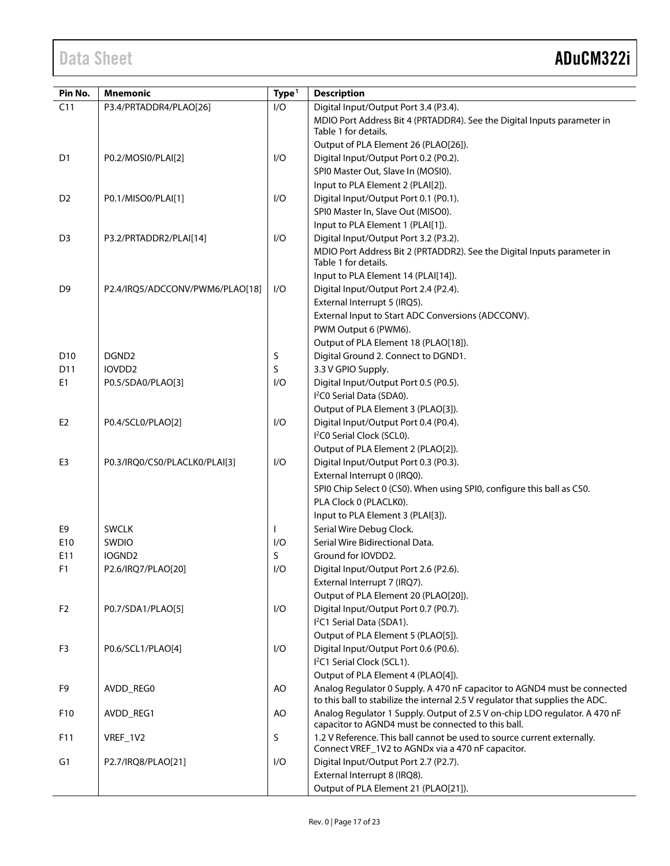| Pin No.         | <b>Mnemonic</b>                 | Type <sup>1</sup> | <b>Description</b>                                                                                                               |
|-----------------|---------------------------------|-------------------|----------------------------------------------------------------------------------------------------------------------------------|
| C11             | P3.4/PRTADDR4/PLAO[26]          | 1/O               | Digital Input/Output Port 3.4 (P3.4).                                                                                            |
|                 |                                 |                   | MDIO Port Address Bit 4 (PRTADDR4). See the Digital Inputs parameter in                                                          |
|                 |                                 |                   | Table 1 for details.                                                                                                             |
|                 |                                 |                   | Output of PLA Element 26 (PLAO[26]).                                                                                             |
| D <sub>1</sub>  | P0.2/MOSI0/PLAI[2]              | I/O               | Digital Input/Output Port 0.2 (P0.2).                                                                                            |
|                 |                                 |                   | SPI0 Master Out, Slave In (MOSI0).                                                                                               |
|                 |                                 |                   | Input to PLA Element 2 (PLAI[2]).                                                                                                |
| D <sub>2</sub>  | P0.1/MISO0/PLAI[1]              | I/O               | Digital Input/Output Port 0.1 (P0.1).                                                                                            |
|                 |                                 |                   | SPI0 Master In, Slave Out (MISO0).                                                                                               |
|                 |                                 |                   | Input to PLA Element 1 (PLAI[1]).                                                                                                |
| D <sub>3</sub>  | P3.2/PRTADDR2/PLAI[14]          | I/O               | Digital Input/Output Port 3.2 (P3.2).                                                                                            |
|                 |                                 |                   | MDIO Port Address Bit 2 (PRTADDR2). See the Digital Inputs parameter in                                                          |
|                 |                                 |                   | Table 1 for details.                                                                                                             |
|                 |                                 |                   | Input to PLA Element 14 (PLAI[14]).                                                                                              |
| D <sub>9</sub>  | P2.4/IRQ5/ADCCONV/PWM6/PLAO[18] | I/O               | Digital Input/Output Port 2.4 (P2.4).                                                                                            |
|                 |                                 |                   | External Interrupt 5 (IRQ5).                                                                                                     |
|                 |                                 |                   | External Input to Start ADC Conversions (ADCCONV).                                                                               |
|                 |                                 |                   | PWM Output 6 (PWM6).                                                                                                             |
|                 |                                 |                   | Output of PLA Element 18 (PLAO[18]).                                                                                             |
| D <sub>10</sub> | DGND <sub>2</sub>               | S                 | Digital Ground 2. Connect to DGND1.                                                                                              |
| D11             | IOVDD <sub>2</sub>              | S                 | 3.3 V GPIO Supply.                                                                                                               |
| E <sub>1</sub>  | P0.5/SDA0/PLAO[3]               | 1/O               | Digital Input/Output Port 0.5 (P0.5).                                                                                            |
|                 |                                 |                   | I <sup>2</sup> C0 Serial Data (SDA0).                                                                                            |
|                 |                                 |                   | Output of PLA Element 3 (PLAO[3]).                                                                                               |
| E <sub>2</sub>  | P0.4/SCL0/PLAO[2]               | I/O               | Digital Input/Output Port 0.4 (P0.4).                                                                                            |
|                 |                                 |                   | I <sup>2</sup> C0 Serial Clock (SCL0).                                                                                           |
|                 |                                 |                   | Output of PLA Element 2 (PLAO[2]).                                                                                               |
| E <sub>3</sub>  | P0.3/IRQ0/CS0/PLACLK0/PLAI[3]   | I/O               | Digital Input/Output Port 0.3 (P0.3).                                                                                            |
|                 |                                 |                   | External Interrupt 0 (IRQ0).                                                                                                     |
|                 |                                 |                   | SPI0 Chip Select 0 (CS0). When using SPI0, configure this ball as CS0.                                                           |
|                 |                                 |                   | PLA Clock 0 (PLACLK0).                                                                                                           |
|                 |                                 |                   | Input to PLA Element 3 (PLAI[3]).                                                                                                |
| E9              | <b>SWCLK</b>                    |                   | Serial Wire Debug Clock.                                                                                                         |
| E10             | SWDIO                           | I/O               | Serial Wire Bidirectional Data.                                                                                                  |
| E11             | IOGND <sub>2</sub>              | S                 | Ground for IOVDD2.                                                                                                               |
| F1              | P2.6/IRQ7/PLAO[20]              | 1/O               | Digital Input/Output Port 2.6 (P2.6).                                                                                            |
|                 |                                 |                   | External Interrupt 7 (IRQ7).                                                                                                     |
|                 |                                 |                   | Output of PLA Element 20 (PLAO[20]).                                                                                             |
| F <sub>2</sub>  | P0.7/SDA1/PLAO[5]               | 1/O               | Digital Input/Output Port 0.7 (P0.7).                                                                                            |
|                 |                                 |                   | I <sup>2</sup> C1 Serial Data (SDA1).                                                                                            |
|                 |                                 |                   | Output of PLA Element 5 (PLAO[5]).                                                                                               |
| F <sub>3</sub>  | P0.6/SCL1/PLAO[4]               | I/O               | Digital Input/Output Port 0.6 (P0.6).                                                                                            |
|                 |                                 |                   | I <sup>2</sup> C1 Serial Clock (SCL1).                                                                                           |
|                 |                                 |                   | Output of PLA Element 4 (PLAO[4]).                                                                                               |
| F9              | AVDD_REG0                       | AO                | Analog Regulator 0 Supply. A 470 nF capacitor to AGND4 must be connected                                                         |
|                 |                                 |                   | to this ball to stabilize the internal 2.5 V regulator that supplies the ADC.                                                    |
| F10             | AVDD_REG1                       | AO                | Analog Regulator 1 Supply. Output of 2.5 V on-chip LDO regulator. A 470 nF<br>capacitor to AGND4 must be connected to this ball. |
| F11             | VREF_1V2                        | S                 | 1.2 V Reference. This ball cannot be used to source current externally.                                                          |
|                 |                                 |                   | Connect VREF_1V2 to AGNDx via a 470 nF capacitor.                                                                                |
| G <sub>1</sub>  | P2.7/IRQ8/PLAO[21]              | I/O               | Digital Input/Output Port 2.7 (P2.7).                                                                                            |
|                 |                                 |                   | External Interrupt 8 (IRQ8).                                                                                                     |
|                 |                                 |                   | Output of PLA Element 21 (PLAO[21]).                                                                                             |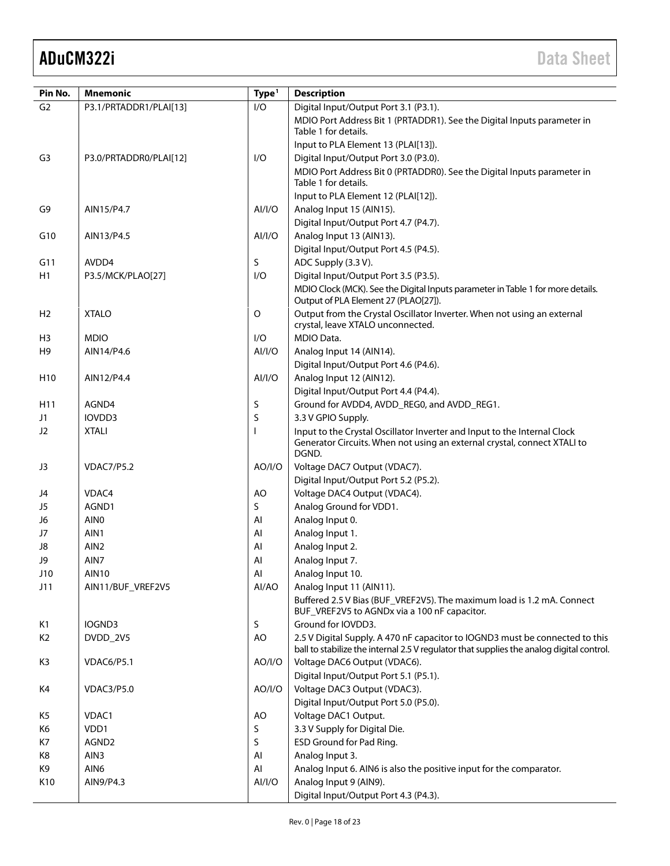| Pin No.         | <b>Mnemonic</b>          | Type <sup>1</sup> | <b>Description</b>                                                                       |  |
|-----------------|--------------------------|-------------------|------------------------------------------------------------------------------------------|--|
| G <sub>2</sub>  | P3.1/PRTADDR1/PLAI[13]   | I/O               | Digital Input/Output Port 3.1 (P3.1).                                                    |  |
|                 |                          |                   | MDIO Port Address Bit 1 (PRTADDR1). See the Digital Inputs parameter in                  |  |
|                 |                          |                   | Table 1 for details.                                                                     |  |
|                 |                          |                   | Input to PLA Element 13 (PLAI[13]).                                                      |  |
| G <sub>3</sub>  | P3.0/PRTADDR0/PLAI[12]   | I/O               | Digital Input/Output Port 3.0 (P3.0).                                                    |  |
|                 |                          |                   | MDIO Port Address Bit 0 (PRTADDR0). See the Digital Inputs parameter in                  |  |
|                 |                          |                   | Table 1 for details.                                                                     |  |
|                 | AIN15/P4.7               |                   | Input to PLA Element 12 (PLAI[12]).                                                      |  |
| G9              |                          | Al/l/O            | Analog Input 15 (AIN15).<br>Digital Input/Output Port 4.7 (P4.7).                        |  |
| G10             | AIN13/P4.5               | AI/I/O            | Analog Input 13 (AIN13).                                                                 |  |
|                 |                          |                   | Digital Input/Output Port 4.5 (P4.5).                                                    |  |
| G11             | AVDD4                    | S                 | ADC Supply (3.3 V).                                                                      |  |
| H1              | P3.5/MCK/PLAO[27]        | I/O               | Digital Input/Output Port 3.5 (P3.5).                                                    |  |
|                 |                          |                   | MDIO Clock (MCK). See the Digital Inputs parameter in Table 1 for more details.          |  |
|                 |                          |                   | Output of PLA Element 27 (PLAO[27]).                                                     |  |
| H2              | <b>XTALO</b>             | O                 | Output from the Crystal Oscillator Inverter. When not using an external                  |  |
|                 |                          |                   | crystal, leave XTALO unconnected.                                                        |  |
| H3              | <b>MDIO</b>              | I/O               | MDIO Data.                                                                               |  |
| H <sub>9</sub>  | AIN14/P4.6               | AI/I/O            | Analog Input 14 (AIN14).                                                                 |  |
|                 |                          |                   | Digital Input/Output Port 4.6 (P4.6).                                                    |  |
| H <sub>10</sub> | AIN12/P4.4               | Al/I/O            | Analog Input 12 (AIN12).                                                                 |  |
| H11             | AGND4                    | S                 | Digital Input/Output Port 4.4 (P4.4).<br>Ground for AVDD4, AVDD_REG0, and AVDD_REG1.     |  |
| J1              | IOVDD3                   | S                 | 3.3 V GPIO Supply.                                                                       |  |
| J2              | <b>XTALI</b>             | <b>I</b>          | Input to the Crystal Oscillator Inverter and Input to the Internal Clock                 |  |
|                 |                          |                   | Generator Circuits. When not using an external crystal, connect XTALI to                 |  |
|                 |                          |                   | DGND.                                                                                    |  |
| J3              | <b>VDAC7/P5.2</b>        | AO/I/O            | Voltage DAC7 Output (VDAC7).                                                             |  |
|                 |                          |                   | Digital Input/Output Port 5.2 (P5.2).                                                    |  |
| J4              | VDAC4                    | AO                | Voltage DAC4 Output (VDAC4).                                                             |  |
| J5              | AGND1                    | S                 | Analog Ground for VDD1.                                                                  |  |
| J6              | AIN <sub>0</sub>         | Al                | Analog Input 0.                                                                          |  |
| J7              | AIN1                     | Al                | Analog Input 1.                                                                          |  |
| J8<br>J9        | AIN <sub>2</sub><br>AIN7 | Al<br>Al          | Analog Input 2.                                                                          |  |
| J10             | <b>AIN10</b>             | Al                | Analog Input 7.<br>Analog Input 10.                                                      |  |
| J11             | AIN11/BUF_VREF2V5        | Al/AO             | Analog Input 11 (AIN11).                                                                 |  |
|                 |                          |                   | Buffered 2.5 V Bias (BUF_VREF2V5). The maximum load is 1.2 mA. Connect                   |  |
|                 |                          |                   | BUF_VREF2V5 to AGNDx via a 100 nF capacitor.                                             |  |
| K1              | IOGND3                   | S                 | Ground for IOVDD3.                                                                       |  |
| K <sub>2</sub>  | DVDD_2V5                 | AO                | 2.5 V Digital Supply. A 470 nF capacitor to IOGND3 must be connected to this             |  |
|                 |                          |                   | ball to stabilize the internal 2.5 V regulator that supplies the analog digital control. |  |
| K3              | VDAC6/P5.1               | AO/I/O            | Voltage DAC6 Output (VDAC6).<br>Digital Input/Output Port 5.1 (P5.1).                    |  |
| K4              | VDAC3/P5.0               | AO/I/O            | Voltage DAC3 Output (VDAC3).                                                             |  |
|                 |                          |                   | Digital Input/Output Port 5.0 (P5.0).                                                    |  |
| K5              | VDAC1                    | AO                | Voltage DAC1 Output.                                                                     |  |
| K6              | VDD1                     | S                 | 3.3 V Supply for Digital Die.                                                            |  |
| K7              | AGND2                    | S                 | ESD Ground for Pad Ring.                                                                 |  |
| K8              | AIN3                     | AI                | Analog Input 3.                                                                          |  |
| K9              | AIN6                     | Al                | Analog Input 6. AIN6 is also the positive input for the comparator.                      |  |
| K10             | AIN9/P4.3                | AI/I/O            | Analog Input 9 (AIN9).                                                                   |  |
|                 |                          |                   | Digital Input/Output Port 4.3 (P4.3).                                                    |  |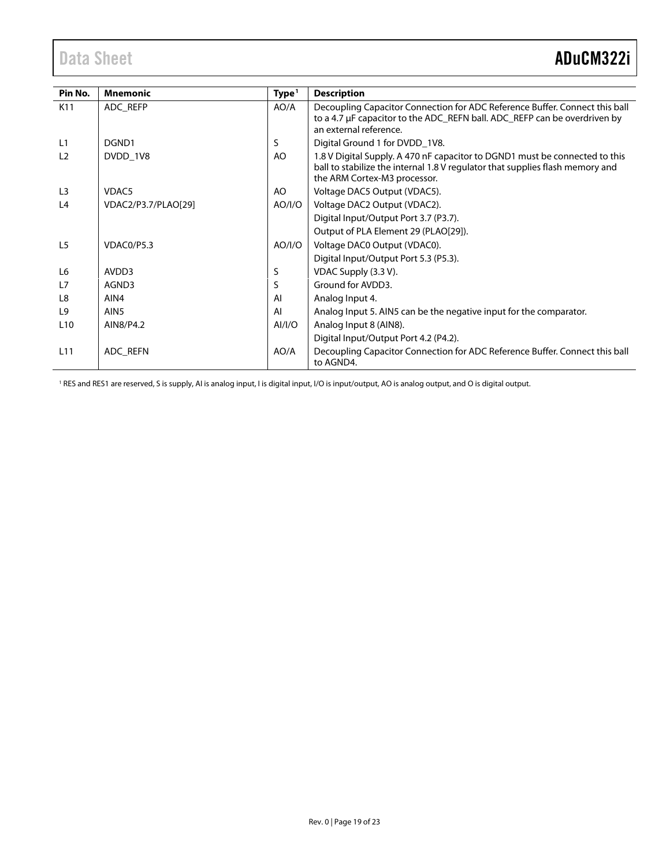<span id="page-18-0"></span>

| Pin No.         | <b>Mnemonic</b>     | Type <sup>1</sup> | <b>Description</b>                                                                                                                                                                           |
|-----------------|---------------------|-------------------|----------------------------------------------------------------------------------------------------------------------------------------------------------------------------------------------|
| K11             | ADC_REFP            | AO/A              | Decoupling Capacitor Connection for ADC Reference Buffer. Connect this ball<br>to a 4.7 µF capacitor to the ADC_REFN ball. ADC_REFP can be overdriven by<br>an external reference.           |
| L1              | DGND1               | S                 | Digital Ground 1 for DVDD_1V8.                                                                                                                                                               |
| L <sub>2</sub>  | DVDD 1V8            | AO                | 1.8 V Digital Supply. A 470 nF capacitor to DGND1 must be connected to this<br>ball to stabilize the internal 1.8 V regulator that supplies flash memory and<br>the ARM Cortex-M3 processor. |
| L <sub>3</sub>  | VDAC5               | AO                | Voltage DAC5 Output (VDAC5).                                                                                                                                                                 |
| L4              | VDAC2/P3.7/PLAO[29] | AO/I/O            | Voltage DAC2 Output (VDAC2).                                                                                                                                                                 |
|                 |                     |                   | Digital Input/Output Port 3.7 (P3.7).                                                                                                                                                        |
|                 |                     |                   | Output of PLA Element 29 (PLAO[29]).                                                                                                                                                         |
| L <sub>5</sub>  | VDAC0/P5.3          | AO/I/O            | Voltage DAC0 Output (VDAC0).                                                                                                                                                                 |
|                 |                     |                   | Digital Input/Output Port 5.3 (P5.3).                                                                                                                                                        |
| L <sub>6</sub>  | AVDD3               | S                 | VDAC Supply (3.3 V).                                                                                                                                                                         |
| L7              | AGND3               | S                 | Ground for AVDD3.                                                                                                                                                                            |
| L8              | AIN4                | Al                | Analog Input 4.                                                                                                                                                                              |
| L <sub>9</sub>  | AIN <sub>5</sub>    | AI                | Analog Input 5. AIN5 can be the negative input for the comparator.                                                                                                                           |
| L <sub>10</sub> | AIN8/P4.2           | AI/I/O            | Analog Input 8 (AIN8).                                                                                                                                                                       |
|                 |                     |                   | Digital Input/Output Port 4.2 (P4.2).                                                                                                                                                        |
| L11             | ADC_REFN            | AO/A              | Decoupling Capacitor Connection for ADC Reference Buffer. Connect this ball<br>to AGND4.                                                                                                     |

<sup>1</sup> RES and RES1 are reserved, S is supply, AI is analog input, I is digital input, I/O is input/output, AO is analog output, and O is digital output.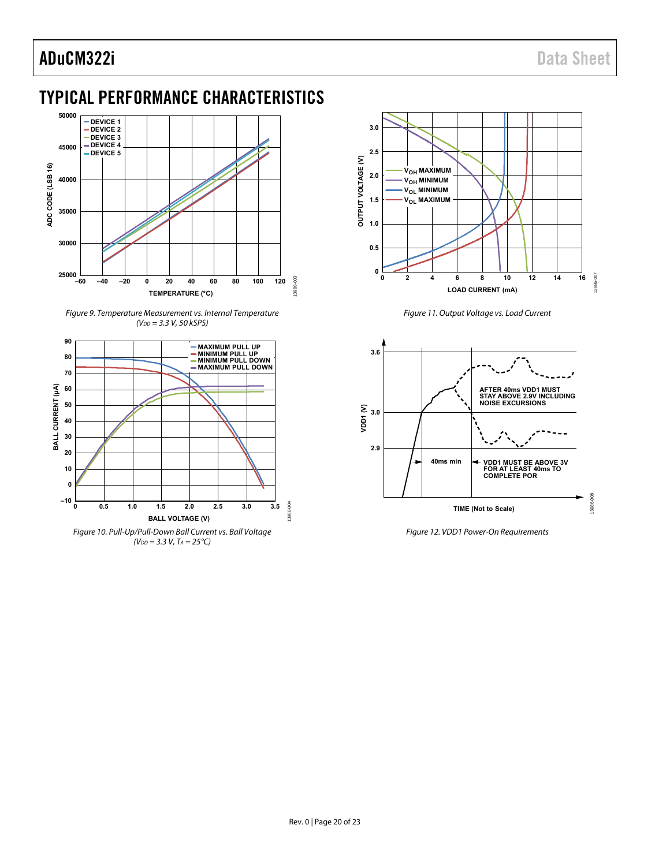## <span id="page-19-0"></span>TYPICAL PERFORMANCE CHARACTERISTICS



Figure 9. Temperature Measurement vs. Internal Temperature  $(V_{DD} = 3.3 V, 50 kSPS)$ 

<span id="page-19-3"></span><span id="page-19-2"></span>



Figure 11. Output Voltage vs. Load Current

<span id="page-19-4"></span>

<span id="page-19-1"></span>Figure 12. VDD1 Power-On Requirements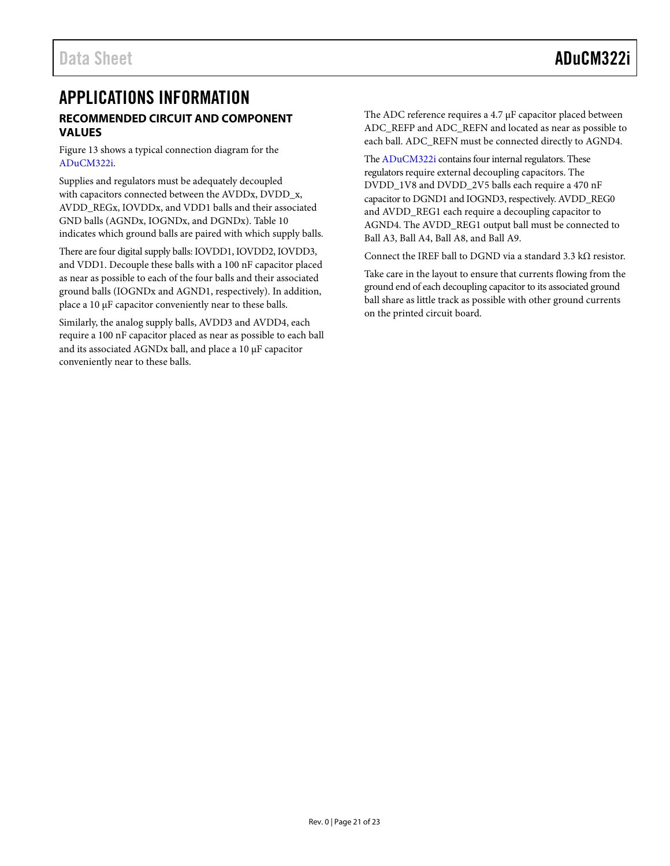### <span id="page-20-1"></span><span id="page-20-0"></span>APPLICATIONS INFORMATION **RECOMMENDED CIRCUIT AND COMPONENT VALUES**

[Figure 13](#page-21-0) shows a typical connection diagram for the [ADuCM322i.](http://www.analog.com/ADuCM322?doc=ADuCM322i.pdf) 

Supplies and regulators must be adequately decoupled with capacitors connected between the AVDDx, DVDD\_x, AVDD\_REGx, IOVDDx, and VDD1 balls and their associated GND balls (AGNDx, IOGNDx, and DGNDx). [Table 10](#page-14-1) indicates which ground balls are paired with which supply balls.

There are four digital supply balls: IOVDD1, IOVDD2, IOVDD3, and VDD1. Decouple these balls with a 100 nF capacitor placed as near as possible to each of the four balls and their associated ground balls (IOGNDx and AGND1, respectively). In addition, place a 10 μF capacitor conveniently near to these balls.

Similarly, the analog supply balls, AVDD3 and AVDD4, each require a 100 nF capacitor placed as near as possible to each ball and its associated AGNDx ball, and place a 10 μF capacitor conveniently near to these balls.

The ADC reference requires a 4.7 μF capacitor placed between ADC\_REFP and ADC\_REFN and located as near as possible to each ball. ADC\_REFN must be connected directly to AGND4.

Th[e ADuCM322i](http://www.analog.com/ADuCM322?doc=ADuCM322i.pdf) contains four internal regulators. These regulators require external decoupling capacitors. The DVDD\_1V8 and DVDD\_2V5 balls each require a 470 nF capacitor to DGND1 and IOGND3, respectively. AVDD\_REG0 and AVDD\_REG1 each require a decoupling capacitor to AGND4. The AVDD\_REG1 output ball must be connected to Ball A3, Ball A4, Ball A8, and Ball A9.

Connect the IREF ball to DGND via a standard 3.3 kΩ resistor.

Take care in the layout to ensure that currents flowing from the ground end of each decoupling capacitor to its associated ground ball share as little track as possible with other ground currents on the printed circuit board.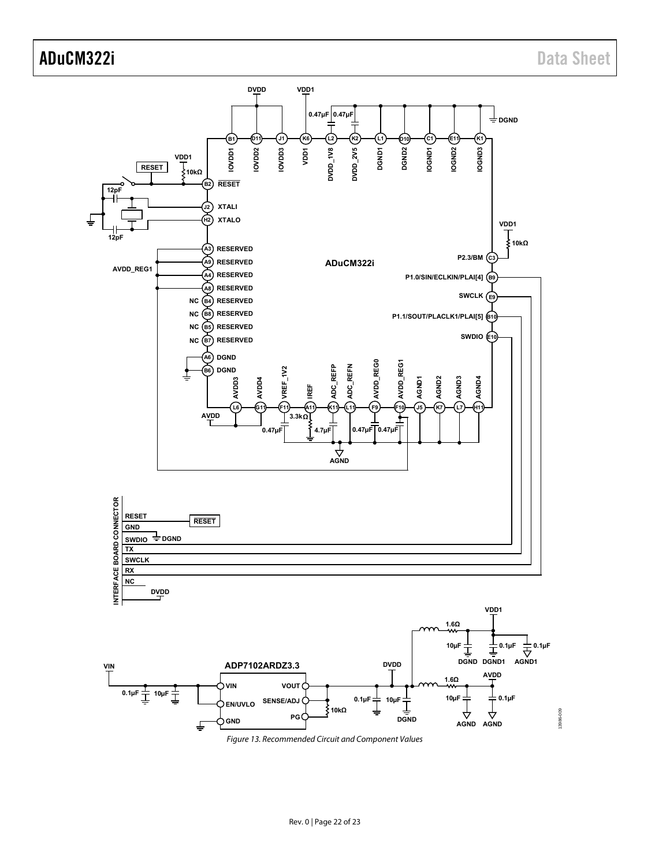<span id="page-21-0"></span>